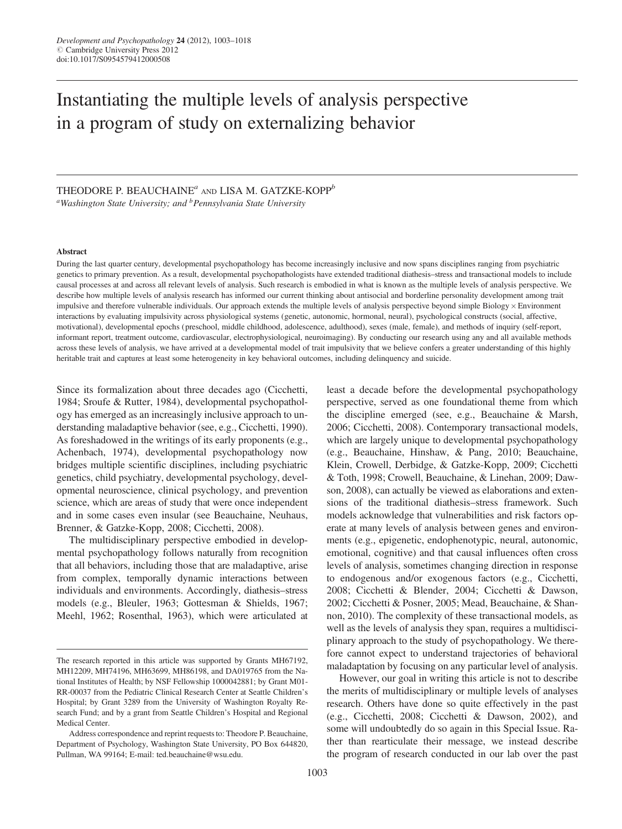# Instantiating the multiple levels of analysis perspective in a program of study on externalizing behavior

# THEODORE P. BEAUCHAINE<sup> $a$ </sup> and LISA M. GATZKE-KOPP<sup>b</sup>

 $a$ Washington State University; and  $b$ Pennsylvania State University

#### Abstract

During the last quarter century, developmental psychopathology has become increasingly inclusive and now spans disciplines ranging from psychiatric genetics to primary prevention. As a result, developmental psychopathologists have extended traditional diathesis–stress and transactional models to include causal processes at and across all relevant levels of analysis. Such research is embodied in what is known as the multiple levels of analysis perspective. We describe how multiple levels of analysis research has informed our current thinking about antisocial and borderline personality development among trait impulsive and therefore vulnerable individuals. Our approach extends the multiple levels of analysis perspective beyond simple Biology-Environment interactions by evaluating impulsivity across physiological systems (genetic, autonomic, hormonal, neural), psychological constructs (social, affective, motivational), developmental epochs (preschool, middle childhood, adolescence, adulthood), sexes (male, female), and methods of inquiry (self-report, informant report, treatment outcome, cardiovascular, electrophysiological, neuroimaging). By conducting our research using any and all available methods across these levels of analysis, we have arrived at a developmental model of trait impulsivity that we believe confers a greater understanding of this highly heritable trait and captures at least some heterogeneity in key behavioral outcomes, including delinquency and suicide.

Since its formalization about three decades ago (Cicchetti, 1984; Sroufe & Rutter, 1984), developmental psychopathology has emerged as an increasingly inclusive approach to understanding maladaptive behavior (see, e.g., Cicchetti, 1990). As foreshadowed in the writings of its early proponents (e.g., Achenbach, 1974), developmental psychopathology now bridges multiple scientific disciplines, including psychiatric genetics, child psychiatry, developmental psychology, developmental neuroscience, clinical psychology, and prevention science, which are areas of study that were once independent and in some cases even insular (see Beauchaine, Neuhaus, Brenner, & Gatzke-Kopp, 2008; Cicchetti, 2008).

The multidisciplinary perspective embodied in developmental psychopathology follows naturally from recognition that all behaviors, including those that are maladaptive, arise from complex, temporally dynamic interactions between individuals and environments. Accordingly, diathesis–stress models (e.g., Bleuler, 1963; Gottesman & Shields, 1967; Meehl, 1962; Rosenthal, 1963), which were articulated at

least a decade before the developmental psychopathology perspective, served as one foundational theme from which the discipline emerged (see, e.g., Beauchaine & Marsh, 2006; Cicchetti, 2008). Contemporary transactional models, which are largely unique to developmental psychopathology (e.g., Beauchaine, Hinshaw, & Pang, 2010; Beauchaine, Klein, Crowell, Derbidge, & Gatzke-Kopp, 2009; Cicchetti & Toth, 1998; Crowell, Beauchaine, & Linehan, 2009; Dawson, 2008), can actually be viewed as elaborations and extensions of the traditional diathesis–stress framework. Such models acknowledge that vulnerabilities and risk factors operate at many levels of analysis between genes and environments (e.g., epigenetic, endophenotypic, neural, autonomic, emotional, cognitive) and that causal influences often cross levels of analysis, sometimes changing direction in response to endogenous and/or exogenous factors (e.g., Cicchetti, 2008; Cicchetti & Blender, 2004; Cicchetti & Dawson, 2002; Cicchetti & Posner, 2005; Mead, Beauchaine, & Shannon, 2010). The complexity of these transactional models, as well as the levels of analysis they span, requires a multidisciplinary approach to the study of psychopathology. We therefore cannot expect to understand trajectories of behavioral maladaptation by focusing on any particular level of analysis.

However, our goal in writing this article is not to describe the merits of multidisciplinary or multiple levels of analyses research. Others have done so quite effectively in the past (e.g., Cicchetti, 2008; Cicchetti & Dawson, 2002), and some will undoubtedly do so again in this Special Issue. Rather than rearticulate their message, we instead describe the program of research conducted in our lab over the past

The research reported in this article was supported by Grants MH67192, MH12209, MH74196, MH63699, MH86198, and DA019765 from the National Institutes of Health; by NSF Fellowship 1000042881; by Grant M01- RR-00037 from the Pediatric Clinical Research Center at Seattle Children's Hospital; by Grant 3289 from the University of Washington Royalty Research Fund; and by a grant from Seattle Children's Hospital and Regional Medical Center.

Address correspondence and reprint requests to: Theodore P. Beauchaine, Department of Psychology, Washington State University, PO Box 644820, Pullman, WA 99164; E-mail: ted.beauchaine@wsu.edu.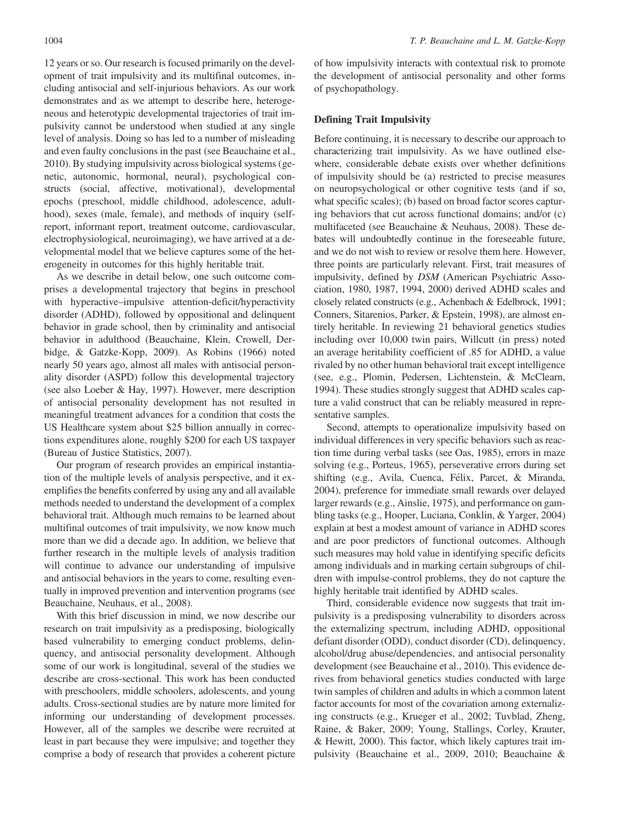12 years or so. Our research is focused primarily on the development of trait impulsivity and its multifinal outcomes, including antisocial and self-injurious behaviors. As our work demonstrates and as we attempt to describe here, heterogeneous and heterotypic developmental trajectories of trait impulsivity cannot be understood when studied at any single level of analysis. Doing so has led to a number of misleading and even faulty conclusions in the past (see Beauchaine et al., 2010). By studying impulsivity across biological systems (genetic, autonomic, hormonal, neural), psychological constructs (social, affective, motivational), developmental epochs (preschool, middle childhood, adolescence, adulthood), sexes (male, female), and methods of inquiry (selfreport, informant report, treatment outcome, cardiovascular, electrophysiological, neuroimaging), we have arrived at a developmental model that we believe captures some of the heterogeneity in outcomes for this highly heritable trait.

As we describe in detail below, one such outcome comprises a developmental trajectory that begins in preschool with hyperactive–impulsive attention-deficit/hyperactivity disorder (ADHD), followed by oppositional and delinquent behavior in grade school, then by criminality and antisocial behavior in adulthood (Beauchaine, Klein, Crowell, Derbidge, & Gatzke-Kopp, 2009). As Robins (1966) noted nearly 50 years ago, almost all males with antisocial personality disorder (ASPD) follow this developmental trajectory (see also Loeber & Hay, 1997). However, mere description of antisocial personality development has not resulted in meaningful treatment advances for a condition that costs the US Healthcare system about \$25 billion annually in corrections expenditures alone, roughly \$200 for each US taxpayer (Bureau of Justice Statistics, 2007).

Our program of research provides an empirical instantiation of the multiple levels of analysis perspective, and it exemplifies the benefits conferred by using any and all available methods needed to understand the development of a complex behavioral trait. Although much remains to be learned about multifinal outcomes of trait impulsivity, we now know much more than we did a decade ago. In addition, we believe that further research in the multiple levels of analysis tradition will continue to advance our understanding of impulsive and antisocial behaviors in the years to come, resulting eventually in improved prevention and intervention programs (see Beauchaine, Neuhaus, et al., 2008).

With this brief discussion in mind, we now describe our research on trait impulsivity as a predisposing, biologically based vulnerability to emerging conduct problems, delinquency, and antisocial personality development. Although some of our work is longitudinal, several of the studies we describe are cross-sectional. This work has been conducted with preschoolers, middle schoolers, adolescents, and young adults. Cross-sectional studies are by nature more limited for informing our understanding of development processes. However, all of the samples we describe were recruited at least in part because they were impulsive; and together they comprise a body of research that provides a coherent picture

of how impulsivity interacts with contextual risk to promote the development of antisocial personality and other forms of psychopathology.

#### Defining Trait Impulsivity

Before continuing, it is necessary to describe our approach to characterizing trait impulsivity. As we have outlined elsewhere, considerable debate exists over whether definitions of impulsivity should be (a) restricted to precise measures on neuropsychological or other cognitive tests (and if so, what specific scales); (b) based on broad factor scores capturing behaviors that cut across functional domains; and/or (c) multifaceted (see Beauchaine & Neuhaus, 2008). These debates will undoubtedly continue in the foreseeable future, and we do not wish to review or resolve them here. However, three points are particularly relevant. First, trait measures of impulsivity, defined by DSM (American Psychiatric Association, 1980, 1987, 1994, 2000) derived ADHD scales and closely related constructs (e.g., Achenbach & Edelbrock, 1991; Conners, Sitarenios, Parker, & Epstein, 1998), are almost entirely heritable. In reviewing 21 behavioral genetics studies including over 10,000 twin pairs, Willcutt (in press) noted an average heritability coefficient of .85 for ADHD, a value rivaled by no other human behavioral trait except intelligence (see, e.g., Plomin, Pedersen, Lichtenstein, & McClearn, 1994). These studies strongly suggest that ADHD scales capture a valid construct that can be reliably measured in representative samples.

Second, attempts to operationalize impulsivity based on individual differences in very specific behaviors such as reaction time during verbal tasks (see Oas, 1985), errors in maze solving (e.g., Porteus, 1965), perseverative errors during set shifting (e.g., Avila, Cuenca, Félix, Parcet, & Miranda, 2004), preference for immediate small rewards over delayed larger rewards (e.g., Ainslie, 1975), and performance on gambling tasks (e.g., Hooper, Luciana, Conklin, & Yarger, 2004) explain at best a modest amount of variance in ADHD scores and are poor predictors of functional outcomes. Although such measures may hold value in identifying specific deficits among individuals and in marking certain subgroups of children with impulse-control problems, they do not capture the highly heritable trait identified by ADHD scales.

Third, considerable evidence now suggests that trait impulsivity is a predisposing vulnerability to disorders across the externalizing spectrum, including ADHD, oppositional defiant disorder (ODD), conduct disorder (CD), delinquency, alcohol/drug abuse/dependencies, and antisocial personality development (see Beauchaine et al., 2010). This evidence derives from behavioral genetics studies conducted with large twin samples of children and adults in which a common latent factor accounts for most of the covariation among externalizing constructs (e.g., Krueger et al., 2002; Tuvblad, Zheng, Raine, & Baker, 2009; Young, Stallings, Corley, Krauter, & Hewitt, 2000). This factor, which likely captures trait impulsivity (Beauchaine et al., 2009, 2010; Beauchaine &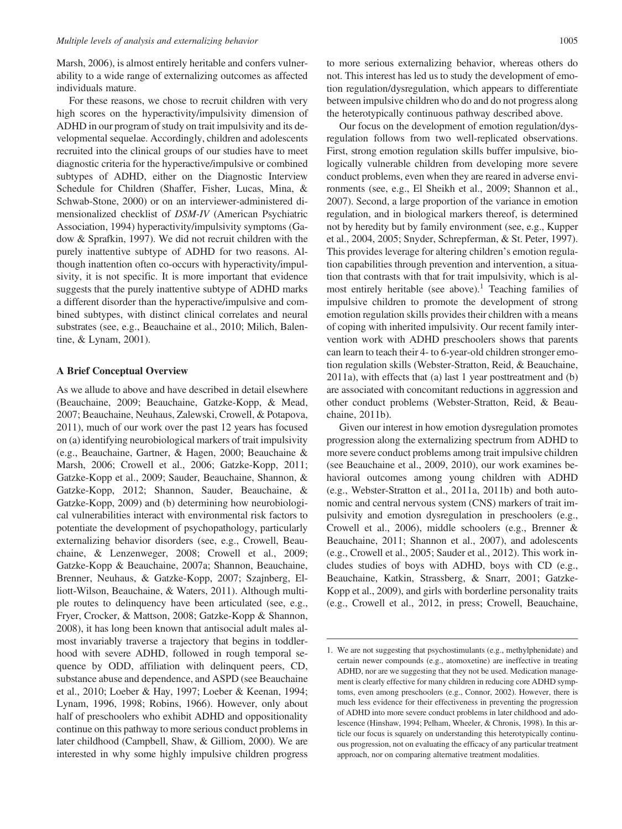Marsh, 2006), is almost entirely heritable and confers vulnerability to a wide range of externalizing outcomes as affected individuals mature.

For these reasons, we chose to recruit children with very high scores on the hyperactivity/impulsivity dimension of ADHD in our program of study on trait impulsivity and its developmental sequelae. Accordingly, children and adolescents recruited into the clinical groups of our studies have to meet diagnostic criteria for the hyperactive/impulsive or combined subtypes of ADHD, either on the Diagnostic Interview Schedule for Children (Shaffer, Fisher, Lucas, Mina, & Schwab-Stone, 2000) or on an interviewer-administered dimensionalized checklist of DSM-IV (American Psychiatric Association, 1994) hyperactivity/impulsivity symptoms (Gadow & Sprafkin, 1997). We did not recruit children with the purely inattentive subtype of ADHD for two reasons. Although inattention often co-occurs with hyperactivity/impulsivity, it is not specific. It is more important that evidence suggests that the purely inattentive subtype of ADHD marks a different disorder than the hyperactive/impulsive and combined subtypes, with distinct clinical correlates and neural substrates (see, e.g., Beauchaine et al., 2010; Milich, Balentine, & Lynam, 2001).

#### A Brief Conceptual Overview

As we allude to above and have described in detail elsewhere (Beauchaine, 2009; Beauchaine, Gatzke-Kopp, & Mead, 2007; Beauchaine, Neuhaus, Zalewski, Crowell, & Potapova, 2011), much of our work over the past 12 years has focused on (a) identifying neurobiological markers of trait impulsivity (e.g., Beauchaine, Gartner, & Hagen, 2000; Beauchaine & Marsh, 2006; Crowell et al., 2006; Gatzke-Kopp, 2011; Gatzke-Kopp et al., 2009; Sauder, Beauchaine, Shannon, & Gatzke-Kopp, 2012; Shannon, Sauder, Beauchaine, & Gatzke-Kopp, 2009) and (b) determining how neurobiological vulnerabilities interact with environmental risk factors to potentiate the development of psychopathology, particularly externalizing behavior disorders (see, e.g., Crowell, Beauchaine, & Lenzenweger, 2008; Crowell et al., 2009; Gatzke-Kopp & Beauchaine, 2007a; Shannon, Beauchaine, Brenner, Neuhaus, & Gatzke-Kopp, 2007; Szajnberg, Elliott-Wilson, Beauchaine, & Waters, 2011). Although multiple routes to delinquency have been articulated (see, e.g., Fryer, Crocker, & Mattson, 2008; Gatzke-Kopp & Shannon, 2008), it has long been known that antisocial adult males almost invariably traverse a trajectory that begins in toddlerhood with severe ADHD, followed in rough temporal sequence by ODD, affiliation with delinquent peers, CD, substance abuse and dependence, and ASPD (see Beauchaine et al., 2010; Loeber & Hay, 1997; Loeber & Keenan, 1994; Lynam, 1996, 1998; Robins, 1966). However, only about half of preschoolers who exhibit ADHD and oppositionality continue on this pathway to more serious conduct problems in later childhood (Campbell, Shaw, & Gilliom, 2000). We are interested in why some highly impulsive children progress

to more serious externalizing behavior, whereas others do not. This interest has led us to study the development of emotion regulation/dysregulation, which appears to differentiate between impulsive children who do and do not progress along the heterotypically continuous pathway described above.

Our focus on the development of emotion regulation/dysregulation follows from two well-replicated observations. First, strong emotion regulation skills buffer impulsive, biologically vulnerable children from developing more severe conduct problems, even when they are reared in adverse environments (see, e.g., El Sheikh et al., 2009; Shannon et al., 2007). Second, a large proportion of the variance in emotion regulation, and in biological markers thereof, is determined not by heredity but by family environment (see, e.g., Kupper et al., 2004, 2005; Snyder, Schrepferman, & St. Peter, 1997). This provides leverage for altering children's emotion regulation capabilities through prevention and intervention, a situation that contrasts with that for trait impulsivity, which is almost entirely heritable (see above).<sup>1</sup> Teaching families of impulsive children to promote the development of strong emotion regulation skills provides their children with a means of coping with inherited impulsivity. Our recent family intervention work with ADHD preschoolers shows that parents can learn to teach their 4- to 6-year-old children stronger emotion regulation skills (Webster-Stratton, Reid, & Beauchaine, 2011a), with effects that (a) last 1 year posttreatment and (b) are associated with concomitant reductions in aggression and other conduct problems (Webster-Stratton, Reid, & Beauchaine, 2011b).

Given our interest in how emotion dysregulation promotes progression along the externalizing spectrum from ADHD to more severe conduct problems among trait impulsive children (see Beauchaine et al., 2009, 2010), our work examines behavioral outcomes among young children with ADHD (e.g., Webster-Stratton et al., 2011a, 2011b) and both autonomic and central nervous system (CNS) markers of trait impulsivity and emotion dysregulation in preschoolers (e.g., Crowell et al., 2006), middle schoolers (e.g., Brenner & Beauchaine, 2011; Shannon et al., 2007), and adolescents (e.g., Crowell et al., 2005; Sauder et al., 2012). This work includes studies of boys with ADHD, boys with CD (e.g., Beauchaine, Katkin, Strassberg, & Snarr, 2001; Gatzke-Kopp et al., 2009), and girls with borderline personality traits (e.g., Crowell et al., 2012, in press; Crowell, Beauchaine,

<sup>1.</sup> We are not suggesting that psychostimulants (e.g., methylphenidate) and certain newer compounds (e.g., atomoxetine) are ineffective in treating ADHD, nor are we suggesting that they not be used. Medication management is clearly effective for many children in reducing core ADHD symptoms, even among preschoolers (e.g., Connor, 2002). However, there is much less evidence for their effectiveness in preventing the progression of ADHD into more severe conduct problems in later childhood and adolescence (Hinshaw, 1994; Pelham, Wheeler, & Chronis, 1998). In this article our focus is squarely on understanding this heterotypically continuous progression, not on evaluating the efficacy of any particular treatment approach, nor on comparing alternative treatment modalities.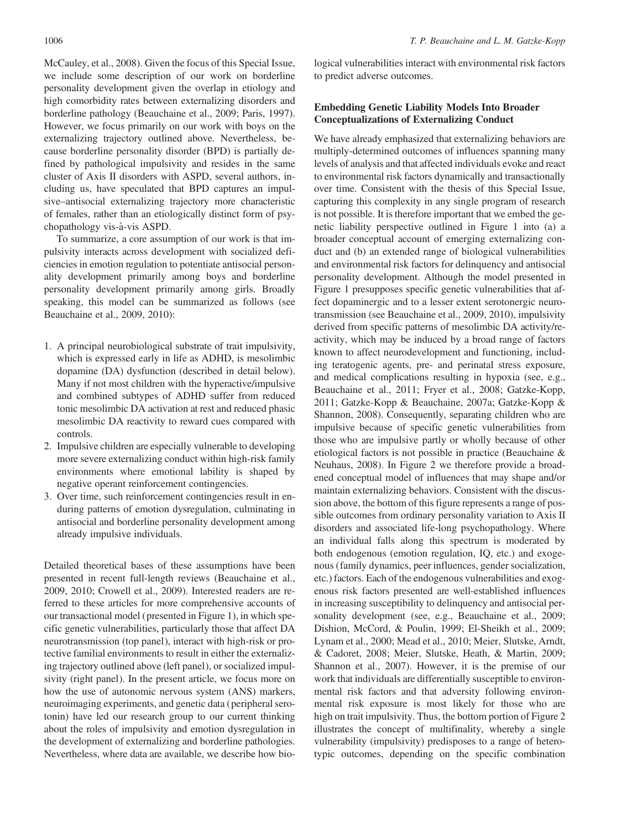McCauley, et al., 2008). Given the focus of this Special Issue, we include some description of our work on borderline personality development given the overlap in etiology and high comorbidity rates between externalizing disorders and borderline pathology (Beauchaine et al., 2009; Paris, 1997). However, we focus primarily on our work with boys on the externalizing trajectory outlined above. Nevertheless, because borderline personality disorder (BPD) is partially defined by pathological impulsivity and resides in the same cluster of Axis II disorders with ASPD, several authors, including us, have speculated that BPD captures an impulsive–antisocial externalizing trajectory more characteristic of females, rather than an etiologically distinct form of psychopathology vis-à-vis ASPD.

To summarize, a core assumption of our work is that impulsivity interacts across development with socialized deficiencies in emotion regulation to potentiate antisocial personality development primarily among boys and borderline personality development primarily among girls. Broadly speaking, this model can be summarized as follows (see Beauchaine et al., 2009, 2010):

- 1. A principal neurobiological substrate of trait impulsivity, which is expressed early in life as ADHD, is mesolimbic dopamine (DA) dysfunction (described in detail below). Many if not most children with the hyperactive/impulsive and combined subtypes of ADHD suffer from reduced tonic mesolimbic DA activation at rest and reduced phasic mesolimbic DA reactivity to reward cues compared with controls.
- 2. Impulsive children are especially vulnerable to developing more severe externalizing conduct within high-risk family environments where emotional lability is shaped by negative operant reinforcement contingencies.
- 3. Over time, such reinforcement contingencies result in enduring patterns of emotion dysregulation, culminating in antisocial and borderline personality development among already impulsive individuals.

Detailed theoretical bases of these assumptions have been presented in recent full-length reviews (Beauchaine et al., 2009, 2010; Crowell et al., 2009). Interested readers are referred to these articles for more comprehensive accounts of our transactional model (presented in Figure 1), in which specific genetic vulnerabilities, particularly those that affect DA neurotransmission (top panel), interact with high-risk or protective familial environments to result in either the externalizing trajectory outlined above (left panel), or socialized impulsivity (right panel). In the present article, we focus more on how the use of autonomic nervous system (ANS) markers, neuroimaging experiments, and genetic data (peripheral serotonin) have led our research group to our current thinking about the roles of impulsivity and emotion dysregulation in the development of externalizing and borderline pathologies. Nevertheless, where data are available, we describe how biological vulnerabilities interact with environmental risk factors to predict adverse outcomes.

## Embedding Genetic Liability Models Into Broader Conceptualizations of Externalizing Conduct

We have already emphasized that externalizing behaviors are multiply-determined outcomes of influences spanning many levels of analysis and that affected individuals evoke and react to environmental risk factors dynamically and transactionally over time. Consistent with the thesis of this Special Issue, capturing this complexity in any single program of research is not possible. It is therefore important that we embed the genetic liability perspective outlined in Figure 1 into (a) a broader conceptual account of emerging externalizing conduct and (b) an extended range of biological vulnerabilities and environmental risk factors for delinquency and antisocial personality development. Although the model presented in Figure 1 presupposes specific genetic vulnerabilities that affect dopaminergic and to a lesser extent serotonergic neurotransmission (see Beauchaine et al., 2009, 2010), impulsivity derived from specific patterns of mesolimbic DA activity/reactivity, which may be induced by a broad range of factors known to affect neurodevelopment and functioning, including teratogenic agents, pre- and perinatal stress exposure, and medical complications resulting in hypoxia (see, e.g., Beauchaine et al., 2011; Fryer et al., 2008; Gatzke-Kopp, 2011; Gatzke-Kopp & Beauchaine, 2007a; Gatzke-Kopp & Shannon, 2008). Consequently, separating children who are impulsive because of specific genetic vulnerabilities from those who are impulsive partly or wholly because of other etiological factors is not possible in practice (Beauchaine & Neuhaus, 2008). In Figure 2 we therefore provide a broadened conceptual model of influences that may shape and/or maintain externalizing behaviors. Consistent with the discussion above, the bottom of this figure represents a range of possible outcomes from ordinary personality variation to Axis II disorders and associated life-long psychopathology. Where an individual falls along this spectrum is moderated by both endogenous (emotion regulation, IQ, etc.) and exogenous (family dynamics, peer influences, gender socialization, etc.) factors. Each of the endogenous vulnerabilities and exogenous risk factors presented are well-established influences in increasing susceptibility to delinquency and antisocial personality development (see, e.g., Beauchaine et al., 2009; Dishion, McCord, & Poulin, 1999; El-Sheikh et al., 2009; Lynam et al., 2000; Mead et al., 2010; Meier, Slutske, Arndt, & Cadoret, 2008; Meier, Slutske, Heath, & Martin, 2009; Shannon et al., 2007). However, it is the premise of our work that individuals are differentially susceptible to environmental risk factors and that adversity following environmental risk exposure is most likely for those who are high on trait impulsivity. Thus, the bottom portion of Figure 2 illustrates the concept of multifinality, whereby a single vulnerability (impulsivity) predisposes to a range of heterotypic outcomes, depending on the specific combination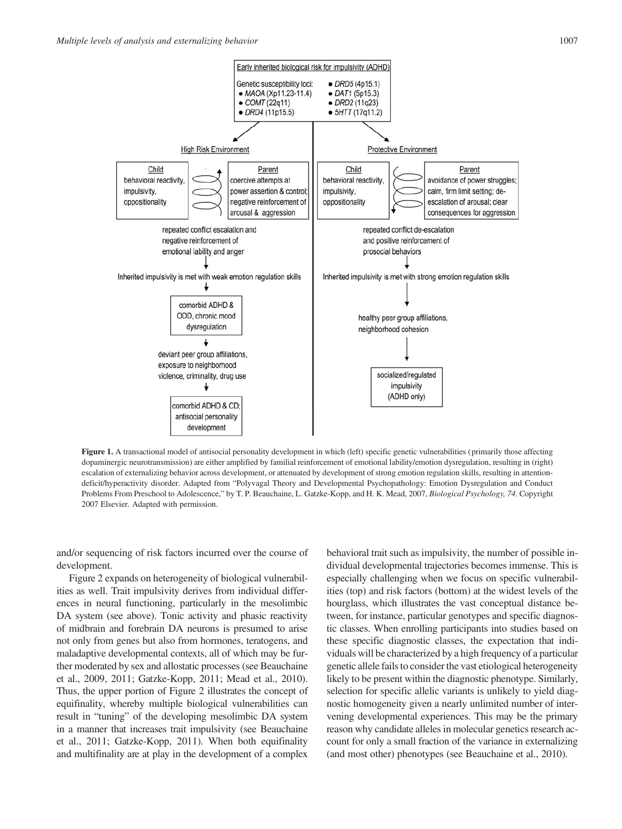

Figure 1. A transactional model of antisocial personality development in which (left) specific genetic vulnerabilities (primarily those affecting dopaminergic neurotransmission) are either amplified by familial reinforcement of emotional lability/emotion dysregulation, resulting in (right) escalation of externalizing behavior across development, or attenuated by development of strong emotion regulation skills, resulting in attentiondeficit/hyperactivity disorder. Adapted from "Polyvagal Theory and Developmental Psychopathology: Emotion Dysregulation and Conduct Problems From Preschool to Adolescence," by T. P. Beauchaine, L. Gatzke-Kopp, and H. K. Mead, 2007, Biological Psychology, 74. Copyright 2007 Elsevier. Adapted with permission.

and/or sequencing of risk factors incurred over the course of development.

Figure 2 expands on heterogeneity of biological vulnerabilities as well. Trait impulsivity derives from individual differences in neural functioning, particularly in the mesolimbic DA system (see above). Tonic activity and phasic reactivity of midbrain and forebrain DA neurons is presumed to arise not only from genes but also from hormones, teratogens, and maladaptive developmental contexts, all of which may be further moderated by sex and allostatic processes (see Beauchaine et al., 2009, 2011; Gatzke-Kopp, 2011; Mead et al., 2010). Thus, the upper portion of Figure 2 illustrates the concept of equifinality, whereby multiple biological vulnerabilities can result in "tuning" of the developing mesolimbic DA system in a manner that increases trait impulsivity (see Beauchaine et al., 2011; Gatzke-Kopp, 2011). When both equifinality and multifinality are at play in the development of a complex

behavioral trait such as impulsivity, the number of possible individual developmental trajectories becomes immense. This is especially challenging when we focus on specific vulnerabilities (top) and risk factors (bottom) at the widest levels of the hourglass, which illustrates the vast conceptual distance between, for instance, particular genotypes and specific diagnostic classes. When enrolling participants into studies based on these specific diagnostic classes, the expectation that individuals will be characterized by a high frequency of a particular genetic allele fails to consider the vast etiological heterogeneity likely to be present within the diagnostic phenotype. Similarly, selection for specific allelic variants is unlikely to yield diagnostic homogeneity given a nearly unlimited number of intervening developmental experiences. This may be the primary reason why candidate alleles in molecular genetics research account for only a small fraction of the variance in externalizing (and most other) phenotypes (see Beauchaine et al., 2010).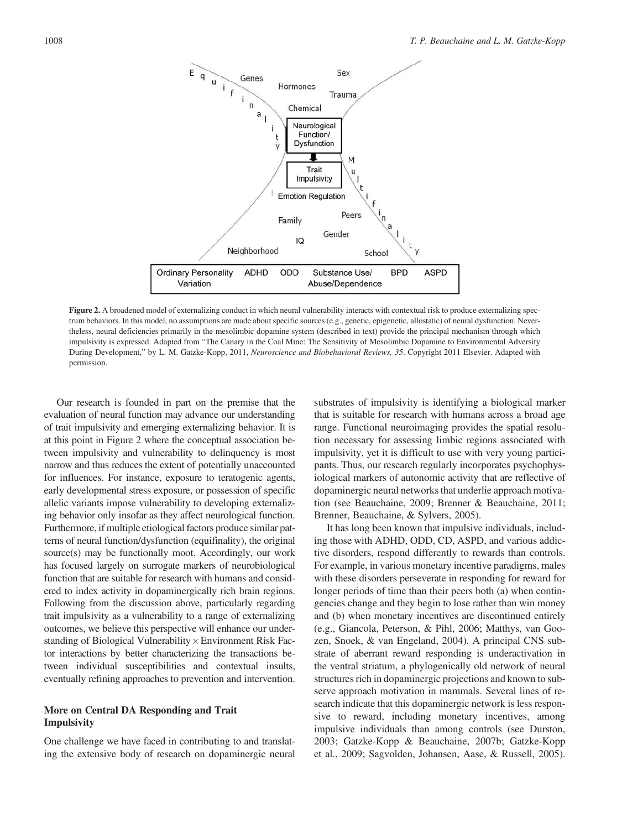

Figure 2. A broadened model of externalizing conduct in which neural vulnerability interacts with contextual risk to produce externalizing spectrum behaviors. In this model, no assumptions are made about specific sources (e.g., genetic, epigenetic, allostatic) of neural dysfunction. Nevertheless, neural deficiencies primarily in the mesolimbic dopamine system (described in text) provide the principal mechanism through which impulsivity is expressed. Adapted from "The Canary in the Coal Mine: The Sensitivity of Mesolimbic Dopamine to Environmental Adversity During Development," by L. M. Gatzke-Kopp, 2011, Neuroscience and Biobehavioral Reviews, 35. Copyright 2011 Elsevier. Adapted with permission.

Our research is founded in part on the premise that the evaluation of neural function may advance our understanding of trait impulsivity and emerging externalizing behavior. It is at this point in Figure 2 where the conceptual association between impulsivity and vulnerability to delinquency is most narrow and thus reduces the extent of potentially unaccounted for influences. For instance, exposure to teratogenic agents, early developmental stress exposure, or possession of specific allelic variants impose vulnerability to developing externalizing behavior only insofar as they affect neurological function. Furthermore, if multiple etiological factors produce similar patterns of neural function/dysfunction (equifinality), the original source(s) may be functionally moot. Accordingly, our work has focused largely on surrogate markers of neurobiological function that are suitable for research with humans and considered to index activity in dopaminergically rich brain regions. Following from the discussion above, particularly regarding trait impulsivity as a vulnerability to a range of externalizing outcomes, we believe this perspective will enhance our understanding of Biological Vulnerability × Environment Risk Factor interactions by better characterizing the transactions between individual susceptibilities and contextual insults, eventually refining approaches to prevention and intervention.

## More on Central DA Responding and Trait Impulsivity

One challenge we have faced in contributing to and translating the extensive body of research on dopaminergic neural

substrates of impulsivity is identifying a biological marker that is suitable for research with humans across a broad age range. Functional neuroimaging provides the spatial resolution necessary for assessing limbic regions associated with impulsivity, yet it is difficult to use with very young participants. Thus, our research regularly incorporates psychophysiological markers of autonomic activity that are reflective of dopaminergic neural networks that underlie approach motivation (see Beauchaine, 2009; Brenner & Beauchaine, 2011; Brenner, Beauchaine, & Sylvers, 2005).

It has long been known that impulsive individuals, including those with ADHD, ODD, CD, ASPD, and various addictive disorders, respond differently to rewards than controls. For example, in various monetary incentive paradigms, males with these disorders perseverate in responding for reward for longer periods of time than their peers both (a) when contingencies change and they begin to lose rather than win money and (b) when monetary incentives are discontinued entirely (e.g., Giancola, Peterson, & Pihl, 2006; Matthys, van Goozen, Snoek, & van Engeland, 2004). A principal CNS substrate of aberrant reward responding is underactivation in the ventral striatum, a phylogenically old network of neural structures rich in dopaminergic projections and known to subserve approach motivation in mammals. Several lines of research indicate that this dopaminergic network is less responsive to reward, including monetary incentives, among impulsive individuals than among controls (see Durston, 2003; Gatzke-Kopp & Beauchaine, 2007b; Gatzke-Kopp et al., 2009; Sagvolden, Johansen, Aase, & Russell, 2005).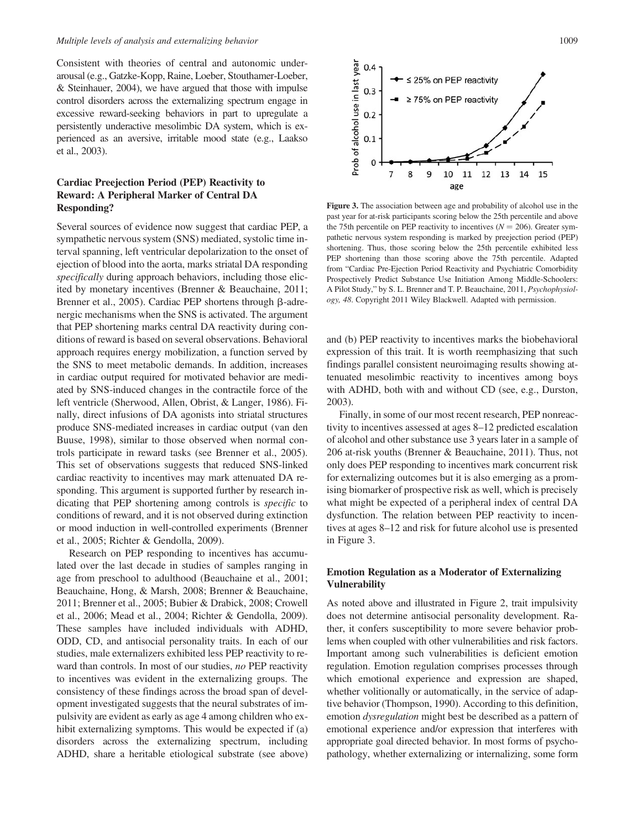Consistent with theories of central and autonomic underarousal (e.g., Gatzke-Kopp, Raine, Loeber, Stouthamer-Loeber, & Steinhauer, 2004), we have argued that those with impulse control disorders across the externalizing spectrum engage in excessive reward-seeking behaviors in part to upregulate a persistently underactive mesolimbic DA system, which is experienced as an aversive, irritable mood state (e.g., Laakso et al., 2003).

# Cardiac Preejection Period (PEP) Reactivity to Reward: A Peripheral Marker of Central DA Responding?

Several sources of evidence now suggest that cardiac PEP, a sympathetic nervous system (SNS) mediated, systolic time interval spanning, left ventricular depolarization to the onset of ejection of blood into the aorta, marks striatal DA responding specifically during approach behaviors, including those elicited by monetary incentives (Brenner & Beauchaine, 2011; Brenner et al., 2005). Cardiac PEP shortens through  $\beta$ -adrenergic mechanisms when the SNS is activated. The argument that PEP shortening marks central DA reactivity during conditions of reward is based on several observations. Behavioral approach requires energy mobilization, a function served by the SNS to meet metabolic demands. In addition, increases in cardiac output required for motivated behavior are mediated by SNS-induced changes in the contractile force of the left ventricle (Sherwood, Allen, Obrist, & Langer, 1986). Finally, direct infusions of DA agonists into striatal structures produce SNS-mediated increases in cardiac output (van den Buuse, 1998), similar to those observed when normal controls participate in reward tasks (see Brenner et al., 2005). This set of observations suggests that reduced SNS-linked cardiac reactivity to incentives may mark attenuated DA responding. This argument is supported further by research indicating that PEP shortening among controls is specific to conditions of reward, and it is not observed during extinction or mood induction in well-controlled experiments (Brenner et al., 2005; Richter & Gendolla, 2009).

Research on PEP responding to incentives has accumulated over the last decade in studies of samples ranging in age from preschool to adulthood (Beauchaine et al., 2001; Beauchaine, Hong, & Marsh, 2008; Brenner & Beauchaine, 2011; Brenner et al., 2005; Bubier & Drabick, 2008; Crowell et al., 2006; Mead et al., 2004; Richter & Gendolla, 2009). These samples have included individuals with ADHD, ODD, CD, and antisocial personality traits. In each of our studies, male externalizers exhibited less PEP reactivity to reward than controls. In most of our studies, no PEP reactivity to incentives was evident in the externalizing groups. The consistency of these findings across the broad span of development investigated suggests that the neural substrates of impulsivity are evident as early as age 4 among children who exhibit externalizing symptoms. This would be expected if (a) disorders across the externalizing spectrum, including ADHD, share a heritable etiological substrate (see above)



Figure 3. The association between age and probability of alcohol use in the past year for at-risk participants scoring below the 25th percentile and above the 75th percentile on PEP reactivity to incentives ( $N = 206$ ). Greater sympathetic nervous system responding is marked by preejection period (PEP) shortening. Thus, those scoring below the 25th percentile exhibited less PEP shortening than those scoring above the 75th percentile. Adapted from "Cardiac Pre-Ejection Period Reactivity and Psychiatric Comorbidity Prospectively Predict Substance Use Initiation Among Middle-Schoolers: A Pilot Study," by S. L. Brenner and T. P. Beauchaine, 2011, Psychophysiology, 48. Copyright 2011 Wiley Blackwell. Adapted with permission.

and (b) PEP reactivity to incentives marks the biobehavioral expression of this trait. It is worth reemphasizing that such findings parallel consistent neuroimaging results showing attenuated mesolimbic reactivity to incentives among boys with ADHD, both with and without CD (see, e.g., Durston, 2003).

Finally, in some of our most recent research, PEP nonreactivity to incentives assessed at ages 8–12 predicted escalation of alcohol and other substance use 3 years later in a sample of 206 at-risk youths (Brenner & Beauchaine, 2011). Thus, not only does PEP responding to incentives mark concurrent risk for externalizing outcomes but it is also emerging as a promising biomarker of prospective risk as well, which is precisely what might be expected of a peripheral index of central DA dysfunction. The relation between PEP reactivity to incentives at ages 8–12 and risk for future alcohol use is presented in Figure 3.

## Emotion Regulation as a Moderator of Externalizing Vulnerability

As noted above and illustrated in Figure 2, trait impulsivity does not determine antisocial personality development. Rather, it confers susceptibility to more severe behavior problems when coupled with other vulnerabilities and risk factors. Important among such vulnerabilities is deficient emotion regulation. Emotion regulation comprises processes through which emotional experience and expression are shaped, whether volitionally or automatically, in the service of adaptive behavior (Thompson, 1990). According to this definition, emotion dysregulation might best be described as a pattern of emotional experience and/or expression that interferes with appropriate goal directed behavior. In most forms of psychopathology, whether externalizing or internalizing, some form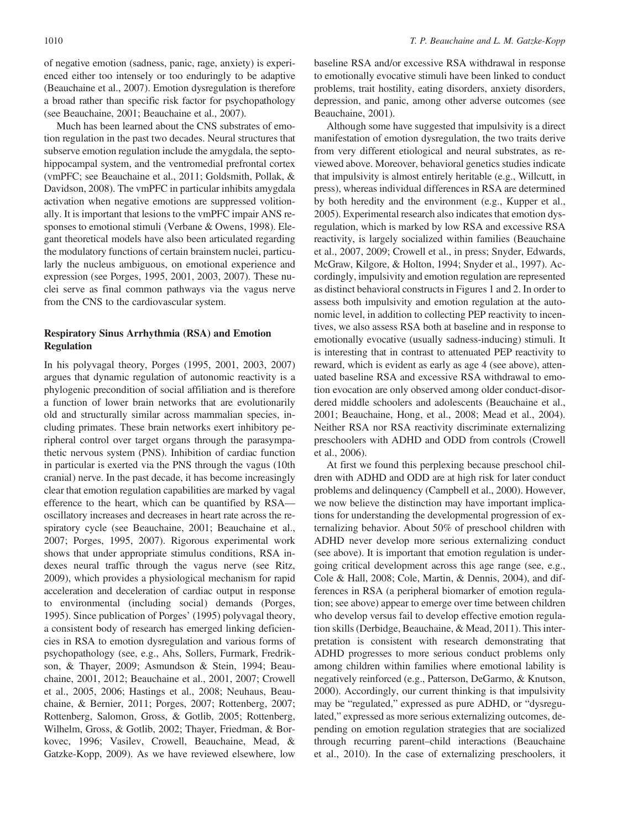of negative emotion (sadness, panic, rage, anxiety) is experienced either too intensely or too enduringly to be adaptive (Beauchaine et al., 2007). Emotion dysregulation is therefore a broad rather than specific risk factor for psychopathology (see Beauchaine, 2001; Beauchaine et al., 2007).

Much has been learned about the CNS substrates of emotion regulation in the past two decades. Neural structures that subserve emotion regulation include the amygdala, the septohippocampal system, and the ventromedial prefrontal cortex (vmPFC; see Beauchaine et al., 2011; Goldsmith, Pollak, & Davidson, 2008). The vmPFC in particular inhibits amygdala activation when negative emotions are suppressed volitionally. It is important that lesions to the vmPFC impair ANS responses to emotional stimuli (Verbane & Owens, 1998). Elegant theoretical models have also been articulated regarding the modulatory functions of certain brainstem nuclei, particularly the nucleus ambiguous, on emotional experience and expression (see Porges, 1995, 2001, 2003, 2007). These nuclei serve as final common pathways via the vagus nerve from the CNS to the cardiovascular system.

## Respiratory Sinus Arrhythmia (RSA) and Emotion Regulation

In his polyvagal theory, Porges (1995, 2001, 2003, 2007) argues that dynamic regulation of autonomic reactivity is a phylogenic precondition of social affiliation and is therefore a function of lower brain networks that are evolutionarily old and structurally similar across mammalian species, including primates. These brain networks exert inhibitory peripheral control over target organs through the parasympathetic nervous system (PNS). Inhibition of cardiac function in particular is exerted via the PNS through the vagus (10th cranial) nerve. In the past decade, it has become increasingly clear that emotion regulation capabilities are marked by vagal efference to the heart, which can be quantified by RSA oscillatory increases and decreases in heart rate across the respiratory cycle (see Beauchaine, 2001; Beauchaine et al., 2007; Porges, 1995, 2007). Rigorous experimental work shows that under appropriate stimulus conditions, RSA indexes neural traffic through the vagus nerve (see Ritz, 2009), which provides a physiological mechanism for rapid acceleration and deceleration of cardiac output in response to environmental (including social) demands (Porges, 1995). Since publication of Porges' (1995) polyvagal theory, a consistent body of research has emerged linking deficiencies in RSA to emotion dysregulation and various forms of psychopathology (see, e.g., Ahs, Sollers, Furmark, Fredrikson, & Thayer, 2009; Asmundson & Stein, 1994; Beauchaine, 2001, 2012; Beauchaine et al., 2001, 2007; Crowell et al., 2005, 2006; Hastings et al., 2008; Neuhaus, Beauchaine, & Bernier, 2011; Porges, 2007; Rottenberg, 2007; Rottenberg, Salomon, Gross, & Gotlib, 2005; Rottenberg, Wilhelm, Gross, & Gotlib, 2002; Thayer, Friedman, & Borkovec, 1996; Vasilev, Crowell, Beauchaine, Mead, & Gatzke-Kopp, 2009). As we have reviewed elsewhere, low

baseline RSA and/or excessive RSA withdrawal in response to emotionally evocative stimuli have been linked to conduct problems, trait hostility, eating disorders, anxiety disorders, depression, and panic, among other adverse outcomes (see Beauchaine, 2001).

Although some have suggested that impulsivity is a direct manifestation of emotion dysregulation, the two traits derive from very different etiological and neural substrates, as reviewed above. Moreover, behavioral genetics studies indicate that impulsivity is almost entirely heritable (e.g., Willcutt, in press), whereas individual differences in RSA are determined by both heredity and the environment (e.g., Kupper et al., 2005). Experimental research also indicates that emotion dysregulation, which is marked by low RSA and excessive RSA reactivity, is largely socialized within families (Beauchaine et al., 2007, 2009; Crowell et al., in press; Snyder, Edwards, McGraw, Kilgore, & Holton, 1994; Snyder et al., 1997). Accordingly, impulsivity and emotion regulation are represented as distinct behavioral constructs in Figures 1 and 2. In order to assess both impulsivity and emotion regulation at the autonomic level, in addition to collecting PEP reactivity to incentives, we also assess RSA both at baseline and in response to emotionally evocative (usually sadness-inducing) stimuli. It is interesting that in contrast to attenuated PEP reactivity to reward, which is evident as early as age 4 (see above), attenuated baseline RSA and excessive RSA withdrawal to emotion evocation are only observed among older conduct-disordered middle schoolers and adolescents (Beauchaine et al., 2001; Beauchaine, Hong, et al., 2008; Mead et al., 2004). Neither RSA nor RSA reactivity discriminate externalizing preschoolers with ADHD and ODD from controls (Crowell et al., 2006).

At first we found this perplexing because preschool children with ADHD and ODD are at high risk for later conduct problems and delinquency (Campbell et al., 2000). However, we now believe the distinction may have important implications for understanding the developmental progression of externalizing behavior. About 50% of preschool children with ADHD never develop more serious externalizing conduct (see above). It is important that emotion regulation is undergoing critical development across this age range (see, e.g., Cole & Hall, 2008; Cole, Martin, & Dennis, 2004), and differences in RSA (a peripheral biomarker of emotion regulation; see above) appear to emerge over time between children who develop versus fail to develop effective emotion regulation skills (Derbidge, Beauchaine, & Mead, 2011). This interpretation is consistent with research demonstrating that ADHD progresses to more serious conduct problems only among children within families where emotional lability is negatively reinforced (e.g., Patterson, DeGarmo, & Knutson, 2000). Accordingly, our current thinking is that impulsivity may be "regulated," expressed as pure ADHD, or "dysregulated," expressed as more serious externalizing outcomes, depending on emotion regulation strategies that are socialized through recurring parent–child interactions (Beauchaine et al., 2010). In the case of externalizing preschoolers, it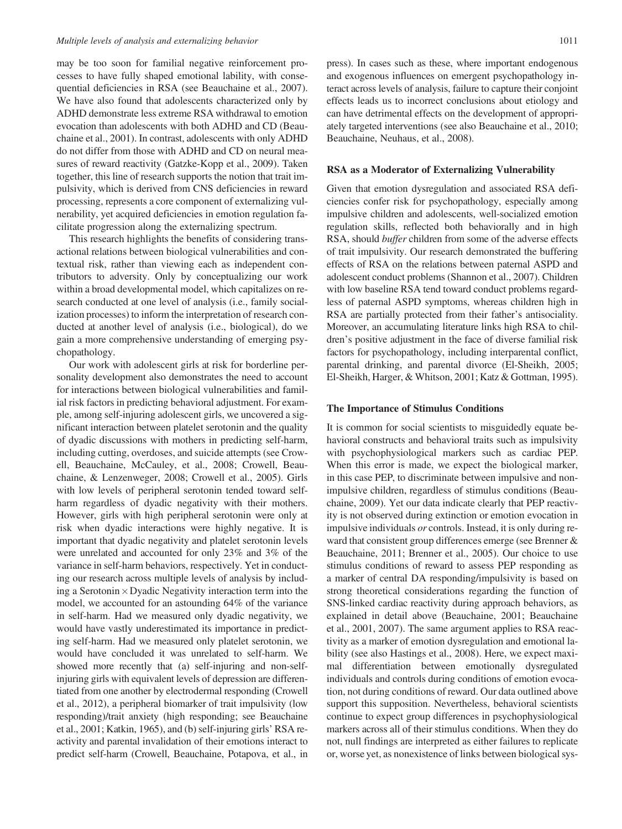may be too soon for familial negative reinforcement processes to have fully shaped emotional lability, with consequential deficiencies in RSA (see Beauchaine et al., 2007). We have also found that adolescents characterized only by ADHD demonstrate less extreme RSA withdrawal to emotion evocation than adolescents with both ADHD and CD (Beauchaine et al., 2001). In contrast, adolescents with only ADHD do not differ from those with ADHD and CD on neural measures of reward reactivity (Gatzke-Kopp et al., 2009). Taken together, this line of research supports the notion that trait impulsivity, which is derived from CNS deficiencies in reward processing, represents a core component of externalizing vulnerability, yet acquired deficiencies in emotion regulation facilitate progression along the externalizing spectrum.

This research highlights the benefits of considering transactional relations between biological vulnerabilities and contextual risk, rather than viewing each as independent contributors to adversity. Only by conceptualizing our work within a broad developmental model, which capitalizes on research conducted at one level of analysis (i.e., family socialization processes) to inform the interpretation of research conducted at another level of analysis (i.e., biological), do we gain a more comprehensive understanding of emerging psychopathology.

Our work with adolescent girls at risk for borderline personality development also demonstrates the need to account for interactions between biological vulnerabilities and familial risk factors in predicting behavioral adjustment. For example, among self-injuring adolescent girls, we uncovered a significant interaction between platelet serotonin and the quality of dyadic discussions with mothers in predicting self-harm, including cutting, overdoses, and suicide attempts (see Crowell, Beauchaine, McCauley, et al., 2008; Crowell, Beauchaine, & Lenzenweger, 2008; Crowell et al., 2005). Girls with low levels of peripheral serotonin tended toward selfharm regardless of dyadic negativity with their mothers. However, girls with high peripheral serotonin were only at risk when dyadic interactions were highly negative. It is important that dyadic negativity and platelet serotonin levels were unrelated and accounted for only 23% and 3% of the variance in self-harm behaviors, respectively. Yet in conducting our research across multiple levels of analysis by including a Serotonin-Dyadic Negativity interaction term into the model, we accounted for an astounding 64% of the variance in self-harm. Had we measured only dyadic negativity, we would have vastly underestimated its importance in predicting self-harm. Had we measured only platelet serotonin, we would have concluded it was unrelated to self-harm. We showed more recently that (a) self-injuring and non-selfinjuring girls with equivalent levels of depression are differentiated from one another by electrodermal responding (Crowell et al., 2012), a peripheral biomarker of trait impulsivity (low responding)/trait anxiety (high responding; see Beauchaine et al., 2001; Katkin, 1965), and (b) self-injuring girls' RSA reactivity and parental invalidation of their emotions interact to predict self-harm (Crowell, Beauchaine, Potapova, et al., in press). In cases such as these, where important endogenous and exogenous influences on emergent psychopathology interact across levels of analysis, failure to capture their conjoint effects leads us to incorrect conclusions about etiology and can have detrimental effects on the development of appropriately targeted interventions (see also Beauchaine et al., 2010; Beauchaine, Neuhaus, et al., 2008).

#### RSA as a Moderator of Externalizing Vulnerability

Given that emotion dysregulation and associated RSA deficiencies confer risk for psychopathology, especially among impulsive children and adolescents, well-socialized emotion regulation skills, reflected both behaviorally and in high RSA, should *buffer* children from some of the adverse effects of trait impulsivity. Our research demonstrated the buffering effects of RSA on the relations between paternal ASPD and adolescent conduct problems (Shannon et al., 2007). Children with low baseline RSA tend toward conduct problems regardless of paternal ASPD symptoms, whereas children high in RSA are partially protected from their father's antisociality. Moreover, an accumulating literature links high RSA to children's positive adjustment in the face of diverse familial risk factors for psychopathology, including interparental conflict, parental drinking, and parental divorce (El-Sheikh, 2005; El-Sheikh, Harger, & Whitson, 2001; Katz & Gottman, 1995).

#### The Importance of Stimulus Conditions

It is common for social scientists to misguidedly equate behavioral constructs and behavioral traits such as impulsivity with psychophysiological markers such as cardiac PEP. When this error is made, we expect the biological marker, in this case PEP, to discriminate between impulsive and nonimpulsive children, regardless of stimulus conditions (Beauchaine, 2009). Yet our data indicate clearly that PEP reactivity is not observed during extinction or emotion evocation in impulsive individuals or controls. Instead, it is only during reward that consistent group differences emerge (see Brenner & Beauchaine, 2011; Brenner et al., 2005). Our choice to use stimulus conditions of reward to assess PEP responding as a marker of central DA responding/impulsivity is based on strong theoretical considerations regarding the function of SNS-linked cardiac reactivity during approach behaviors, as explained in detail above (Beauchaine, 2001; Beauchaine et al., 2001, 2007). The same argument applies to RSA reactivity as a marker of emotion dysregulation and emotional lability (see also Hastings et al., 2008). Here, we expect maximal differentiation between emotionally dysregulated individuals and controls during conditions of emotion evocation, not during conditions of reward. Our data outlined above support this supposition. Nevertheless, behavioral scientists continue to expect group differences in psychophysiological markers across all of their stimulus conditions. When they do not, null findings are interpreted as either failures to replicate or, worse yet, as nonexistence of links between biological sys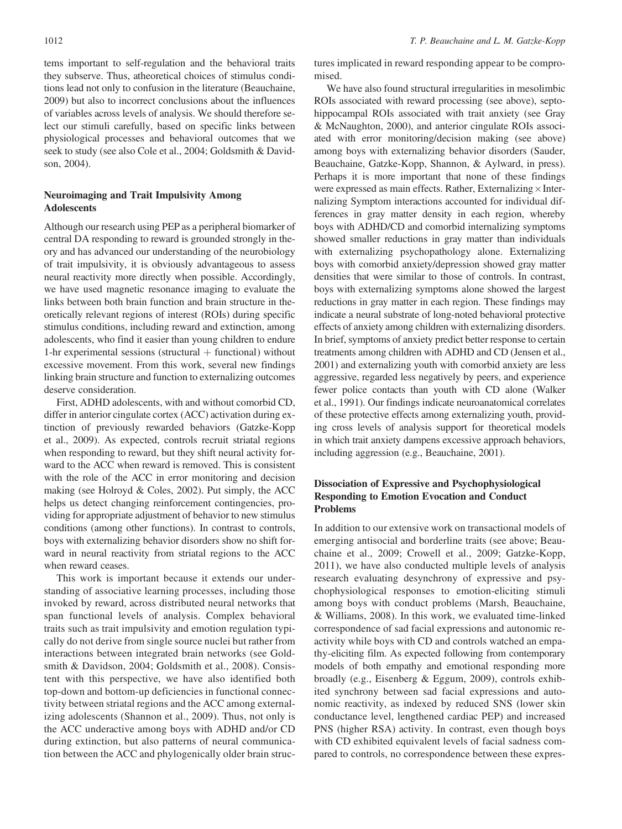tems important to self-regulation and the behavioral traits they subserve. Thus, atheoretical choices of stimulus conditions lead not only to confusion in the literature (Beauchaine, 2009) but also to incorrect conclusions about the influences of variables across levels of analysis. We should therefore select our stimuli carefully, based on specific links between physiological processes and behavioral outcomes that we seek to study (see also Cole et al., 2004; Goldsmith & Davidson, 2004).

## Neuroimaging and Trait Impulsivity Among Adolescents

Although our research using PEP as a peripheral biomarker of central DA responding to reward is grounded strongly in theory and has advanced our understanding of the neurobiology of trait impulsivity, it is obviously advantageous to assess neural reactivity more directly when possible. Accordingly, we have used magnetic resonance imaging to evaluate the links between both brain function and brain structure in theoretically relevant regions of interest (ROIs) during specific stimulus conditions, including reward and extinction, among adolescents, who find it easier than young children to endure 1-hr experimental sessions (structural  $+$  functional) without excessive movement. From this work, several new findings linking brain structure and function to externalizing outcomes deserve consideration.

First, ADHD adolescents, with and without comorbid CD, differ in anterior cingulate cortex (ACC) activation during extinction of previously rewarded behaviors (Gatzke-Kopp et al., 2009). As expected, controls recruit striatal regions when responding to reward, but they shift neural activity forward to the ACC when reward is removed. This is consistent with the role of the ACC in error monitoring and decision making (see Holroyd & Coles, 2002). Put simply, the ACC helps us detect changing reinforcement contingencies, providing for appropriate adjustment of behavior to new stimulus conditions (among other functions). In contrast to controls, boys with externalizing behavior disorders show no shift forward in neural reactivity from striatal regions to the ACC when reward ceases.

This work is important because it extends our understanding of associative learning processes, including those invoked by reward, across distributed neural networks that span functional levels of analysis. Complex behavioral traits such as trait impulsivity and emotion regulation typically do not derive from single source nuclei but rather from interactions between integrated brain networks (see Goldsmith & Davidson, 2004; Goldsmith et al., 2008). Consistent with this perspective, we have also identified both top-down and bottom-up deficiencies in functional connectivity between striatal regions and the ACC among externalizing adolescents (Shannon et al., 2009). Thus, not only is the ACC underactive among boys with ADHD and/or CD during extinction, but also patterns of neural communication between the ACC and phylogenically older brain structures implicated in reward responding appear to be compromised.

We have also found structural irregularities in mesolimbic ROIs associated with reward processing (see above), septohippocampal ROIs associated with trait anxiety (see Gray & McNaughton, 2000), and anterior cingulate ROIs associated with error monitoring/decision making (see above) among boys with externalizing behavior disorders (Sauder, Beauchaine, Gatzke-Kopp, Shannon, & Aylward, in press). Perhaps it is more important that none of these findings were expressed as main effects. Rather, Externalizing × Internalizing Symptom interactions accounted for individual differences in gray matter density in each region, whereby boys with ADHD/CD and comorbid internalizing symptoms showed smaller reductions in gray matter than individuals with externalizing psychopathology alone. Externalizing boys with comorbid anxiety/depression showed gray matter densities that were similar to those of controls. In contrast, boys with externalizing symptoms alone showed the largest reductions in gray matter in each region. These findings may indicate a neural substrate of long-noted behavioral protective effects of anxiety among children with externalizing disorders. In brief, symptoms of anxiety predict better response to certain treatments among children with ADHD and CD (Jensen et al., 2001) and externalizing youth with comorbid anxiety are less aggressive, regarded less negatively by peers, and experience fewer police contacts than youth with CD alone (Walker et al., 1991). Our findings indicate neuroanatomical correlates of these protective effects among externalizing youth, providing cross levels of analysis support for theoretical models in which trait anxiety dampens excessive approach behaviors, including aggression (e.g., Beauchaine, 2001).

# Dissociation of Expressive and Psychophysiological Responding to Emotion Evocation and Conduct Problems

In addition to our extensive work on transactional models of emerging antisocial and borderline traits (see above; Beauchaine et al., 2009; Crowell et al., 2009; Gatzke-Kopp, 2011), we have also conducted multiple levels of analysis research evaluating desynchrony of expressive and psychophysiological responses to emotion-eliciting stimuli among boys with conduct problems (Marsh, Beauchaine, & Williams, 2008). In this work, we evaluated time-linked correspondence of sad facial expressions and autonomic reactivity while boys with CD and controls watched an empathy-eliciting film. As expected following from contemporary models of both empathy and emotional responding more broadly (e.g., Eisenberg & Eggum, 2009), controls exhibited synchrony between sad facial expressions and autonomic reactivity, as indexed by reduced SNS (lower skin conductance level, lengthened cardiac PEP) and increased PNS (higher RSA) activity. In contrast, even though boys with CD exhibited equivalent levels of facial sadness compared to controls, no correspondence between these expres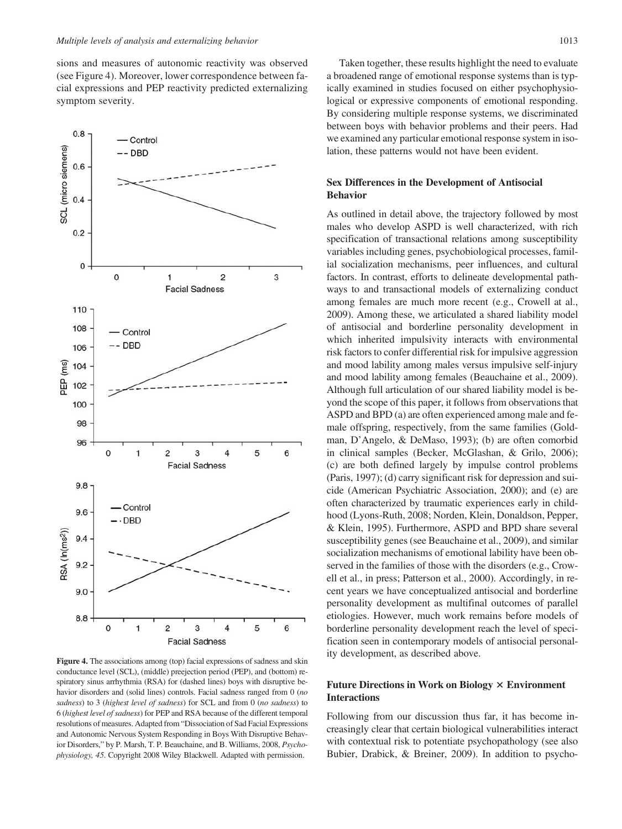sions and measures of autonomic reactivity was observed (see Figure 4). Moreover, lower correspondence between facial expressions and PEP reactivity predicted externalizing symptom severity.



Figure 4. The associations among (top) facial expressions of sadness and skin conductance level (SCL), (middle) preejection period (PEP), and (bottom) respiratory sinus arrhythmia (RSA) for (dashed lines) boys with disruptive behavior disorders and (solid lines) controls. Facial sadness ranged from 0 (no sadness) to 3 (highest level of sadness) for SCL and from 0 (no sadness) to 6 (highest level of sadness) for PEP and RSA because of the different temporal resolutions of measures. Adapted from "Dissociation of Sad Facial Expressions and Autonomic Nervous System Responding in Boys With Disruptive Behavior Disorders," by P. Marsh, T. P. Beauchaine, and B. Williams, 2008, Psychophysiology, 45. Copyright 2008 Wiley Blackwell. Adapted with permission.

Taken together, these results highlight the need to evaluate a broadened range of emotional response systems than is typically examined in studies focused on either psychophysiological or expressive components of emotional responding. By considering multiple response systems, we discriminated between boys with behavior problems and their peers. Had we examined any particular emotional response system in isolation, these patterns would not have been evident.

## Sex Differences in the Development of Antisocial Behavior

As outlined in detail above, the trajectory followed by most males who develop ASPD is well characterized, with rich specification of transactional relations among susceptibility variables including genes, psychobiological processes, familial socialization mechanisms, peer influences, and cultural factors. In contrast, efforts to delineate developmental pathways to and transactional models of externalizing conduct among females are much more recent (e.g., Crowell at al., 2009). Among these, we articulated a shared liability model of antisocial and borderline personality development in which inherited impulsivity interacts with environmental risk factors to confer differential risk for impulsive aggression and mood lability among males versus impulsive self-injury and mood lability among females (Beauchaine et al., 2009). Although full articulation of our shared liability model is beyond the scope of this paper, it follows from observations that ASPD and BPD (a) are often experienced among male and female offspring, respectively, from the same families (Goldman, D'Angelo, & DeMaso, 1993); (b) are often comorbid in clinical samples (Becker, McGlashan, & Grilo, 2006); (c) are both defined largely by impulse control problems (Paris, 1997); (d) carry significant risk for depression and suicide (American Psychiatric Association, 2000); and (e) are often characterized by traumatic experiences early in childhood (Lyons-Ruth, 2008; Norden, Klein, Donaldson, Pepper, & Klein, 1995). Furthermore, ASPD and BPD share several susceptibility genes (see Beauchaine et al., 2009), and similar socialization mechanisms of emotional lability have been observed in the families of those with the disorders (e.g., Crowell et al., in press; Patterson et al., 2000). Accordingly, in recent years we have conceptualized antisocial and borderline personality development as multifinal outcomes of parallel etiologies. However, much work remains before models of borderline personality development reach the level of specification seen in contemporary models of antisocial personality development, as described above.

## Future Directions in Work on Biology  $\times$  Environment Interactions

Following from our discussion thus far, it has become increasingly clear that certain biological vulnerabilities interact with contextual risk to potentiate psychopathology (see also Bubier, Drabick, & Breiner, 2009). In addition to psycho-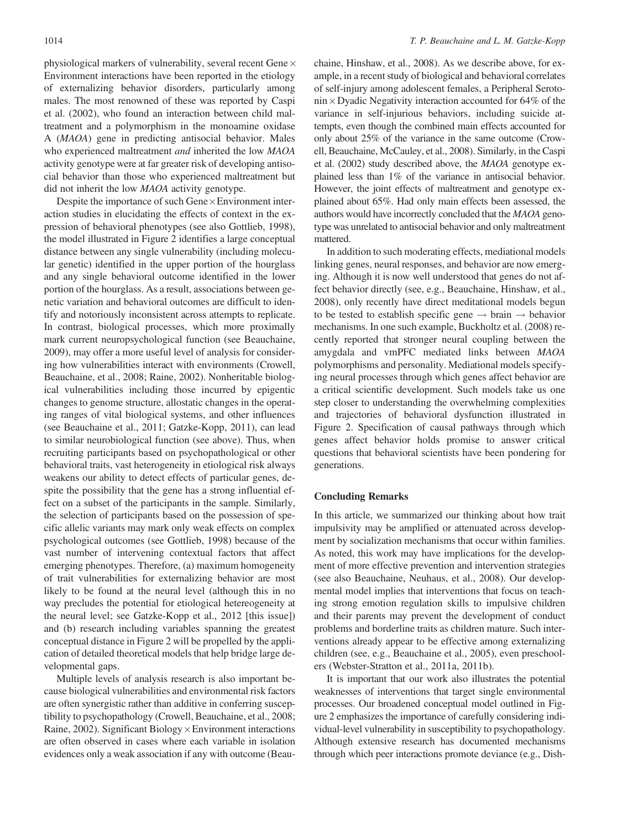physiological markers of vulnerability, several recent Gene $\times$ Environment interactions have been reported in the etiology of externalizing behavior disorders, particularly among males. The most renowned of these was reported by Caspi et al. (2002), who found an interaction between child maltreatment and a polymorphism in the monoamine oxidase A (MAOA) gene in predicting antisocial behavior. Males who experienced maltreatment *and* inherited the low *MAOA* activity genotype were at far greater risk of developing antisocial behavior than those who experienced maltreatment but did not inherit the low MAOA activity genotype.

Despite the importance of such Gene $\times$ Environment interaction studies in elucidating the effects of context in the expression of behavioral phenotypes (see also Gottlieb, 1998), the model illustrated in Figure 2 identifies a large conceptual distance between any single vulnerability (including molecular genetic) identified in the upper portion of the hourglass and any single behavioral outcome identified in the lower portion of the hourglass. As a result, associations between genetic variation and behavioral outcomes are difficult to identify and notoriously inconsistent across attempts to replicate. In contrast, biological processes, which more proximally mark current neuropsychological function (see Beauchaine, 2009), may offer a more useful level of analysis for considering how vulnerabilities interact with environments (Crowell, Beauchaine, et al., 2008; Raine, 2002). Nonheritable biological vulnerabilities including those incurred by epigentic changes to genome structure, allostatic changes in the operating ranges of vital biological systems, and other influences (see Beauchaine et al., 2011; Gatzke-Kopp, 2011), can lead to similar neurobiological function (see above). Thus, when recruiting participants based on psychopathological or other behavioral traits, vast heterogeneity in etiological risk always weakens our ability to detect effects of particular genes, despite the possibility that the gene has a strong influential effect on a subset of the participants in the sample. Similarly, the selection of participants based on the possession of specific allelic variants may mark only weak effects on complex psychological outcomes (see Gottlieb, 1998) because of the vast number of intervening contextual factors that affect emerging phenotypes. Therefore, (a) maximum homogeneity of trait vulnerabilities for externalizing behavior are most likely to be found at the neural level (although this in no way precludes the potential for etiological hetereogeneity at the neural level; see Gatzke-Kopp et al., 2012 [this issue]) and (b) research including variables spanning the greatest conceptual distance in Figure 2 will be propelled by the application of detailed theoretical models that help bridge large developmental gaps.

Multiple levels of analysis research is also important because biological vulnerabilities and environmental risk factors are often synergistic rather than additive in conferring susceptibility to psychopathology (Crowell, Beauchaine, et al., 2008; Raine, 2002). Significant Biology × Environment interactions are often observed in cases where each variable in isolation evidences only a weak association if any with outcome (Beauchaine, Hinshaw, et al., 2008). As we describe above, for example, in a recent study of biological and behavioral correlates of self-injury among adolescent females, a Peripheral Serotonin × Dyadic Negativity interaction accounted for 64% of the variance in self-injurious behaviors, including suicide attempts, even though the combined main effects accounted for only about 25% of the variance in the same outcome (Crowell, Beauchaine, McCauley, et al., 2008). Similarly, in the Caspi et al. (2002) study described above, the MAOA genotype explained less than 1% of the variance in antisocial behavior. However, the joint effects of maltreatment and genotype explained about 65%. Had only main effects been assessed, the authors would have incorrectly concluded that the MAOA genotype was unrelated to antisocial behavior and only maltreatment mattered.

In addition to such moderating effects, mediational models linking genes, neural responses, and behavior are now emerging. Although it is now well understood that genes do not affect behavior directly (see, e.g., Beauchaine, Hinshaw, et al., 2008), only recently have direct meditational models begun to be tested to establish specific gene  $\rightarrow$  brain  $\rightarrow$  behavior mechanisms. In one such example, Buckholtz et al. (2008) recently reported that stronger neural coupling between the amygdala and vmPFC mediated links between MAOA polymorphisms and personality. Mediational models specifying neural processes through which genes affect behavior are a critical scientific development. Such models take us one step closer to understanding the overwhelming complexities and trajectories of behavioral dysfunction illustrated in Figure 2. Specification of causal pathways through which genes affect behavior holds promise to answer critical questions that behavioral scientists have been pondering for generations.

#### Concluding Remarks

In this article, we summarized our thinking about how trait impulsivity may be amplified or attenuated across development by socialization mechanisms that occur within families. As noted, this work may have implications for the development of more effective prevention and intervention strategies (see also Beauchaine, Neuhaus, et al., 2008). Our developmental model implies that interventions that focus on teaching strong emotion regulation skills to impulsive children and their parents may prevent the development of conduct problems and borderline traits as children mature. Such interventions already appear to be effective among externalizing children (see, e.g., Beauchaine et al., 2005), even preschoolers (Webster-Stratton et al., 2011a, 2011b).

It is important that our work also illustrates the potential weaknesses of interventions that target single environmental processes. Our broadened conceptual model outlined in Figure 2 emphasizes the importance of carefully considering individual-level vulnerability in susceptibility to psychopathology. Although extensive research has documented mechanisms through which peer interactions promote deviance (e.g., Dish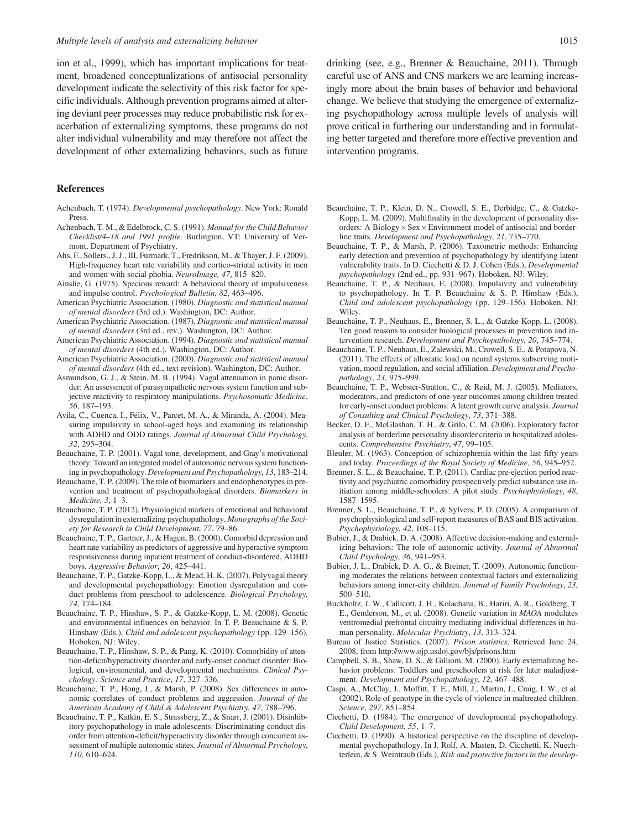ion et al., 1999), which has important implications for treatment, broadened conceptualizations of antisocial personality development indicate the selectivity of this risk factor for specific individuals. Although prevention programs aimed at altering deviant peer processes may reduce probabilistic risk for exacerbation of externalizing symptoms, these programs do not alter individual vulnerability and may therefore not affect the development of other externalizing behaviors, such as future

#### References

- Achenbach, T. (1974). Developmental psychopathology. New York: Ronald Press.
- Achenbach, T. M., & Edelbrock, C. S. (1991). Manual for the Child Behavior Checklist/4–18 and 1991 profile. Burlington, VT: University of Vermont, Department of Psychiatry.
- Ahs, F., Sollers., J. J., III, Furmark, T., Fredrikson, M., & Thayer, J. F. (2009). High-frequency heart rate variability and cortico-striatal activity in men and women with social phobia. NeuroImage, 47, 815–820.
- Ainslie, G. (1975). Specious reward: A behavioral theory of impulsiveness and impulse control. Psychological Bulletin, 82, 463–496.
- American Psychiatric Association. (1980). Diagnostic and statistical manual of mental disorders (3rd ed.). Washington, DC: Author.
- American Psychiatric Association. (1987). Diagnostic and statistical manual of mental disorders (3rd ed., rev.). Washington, DC: Author.
- American Psychiatric Association. (1994). Diagnostic and statistical manual of mental disorders (4th ed.). Washington, DC: Author.
- American Psychiatric Association. (2000). Diagnostic and statistical manual of mental disorders (4th ed., text revision). Washington, DC: Author.
- Asmundson, G. J., & Stein, M. B. (1994). Vagal attenuation in panic disorder: An assessment of parasympathetic nervous system function and subjective reactivity to respiratory manipulations. Psychosomatic Medicine, 56, 187–193.
- Avila, C., Cuenca, I., Félix, V., Parcet, M. A., & Miranda, A. (2004). Measuring impulsivity in school-aged boys and examining its relationship with ADHD and ODD ratings. Journal of Abnormal Child Psychology, 32, 295–304.
- Beauchaine, T. P. (2001). Vagal tone, development, and Gray's motivational theory: Toward an integrated model of autonomic nervous system functioning in psychopathology. Development and Psychopathology, 13, 183–214.
- Beauchaine, T. P. (2009). The role of biomarkers and endophenotypes in prevention and treatment of psychopathological disorders. Biomarkers in Medicine, 3, 1–3.
- Beauchaine, T. P. (2012). Physiological markers of emotional and behavioral dysregulation in externalizing psychopathology. Monographs of the Society for Research in Child Development, 77, 79–86.
- Beauchaine, T. P., Gartner, J., & Hagen, B. (2000). Comorbid depression and heart rate variability as predictors of aggressive and hyperactive symptom responsiveness during inpatient treatment of conduct-disordered, ADHD boys. Aggressive Behavior, 26, 425–441.
- Beauchaine, T. P., Gatzke-Kopp, L., & Mead, H. K. (2007). Polyvagal theory and developmental psychopathology: Emotion dysregulation and conduct problems from preschool to adolescence. *Biological Psychology*, 74, 174–184.
- Beauchaine, T. P., Hinshaw, S. P., & Gatzke-Kopp, L. M. (2008). Genetic and environmental influences on behavior. In T. P. Beauchaine & S. P. Hinshaw (Eds.), Child and adolescent psychopathology (pp. 129–156). Hoboken, NJ: Wiley.
- Beauchaine, T. P., Hinshaw, S. P., & Pang, K. (2010). Comorbidity of attention-deficit/hyperactivity disorder and early-onset conduct disorder: Biological, environmental, and developmental mechanisms. Clinical Psychology: Science and Practice, 17, 327–336.
- Beauchaine, T. P., Hong, J., & Marsh, P. (2008). Sex differences in autonomic correlates of conduct problems and aggression. Journal of the American Academy of Child & Adolescent Psychiatry, 47, 788–796.
- Beauchaine, T. P., Katkin, E. S., Strassberg, Z., & Snarr, J. (2001). Disinhibitory psychopathology in male adolescents: Discriminating conduct disorder from attention-deficit/hyperactivity disorder through concurrent assessment of multiple autonomic states. Journal of Abnormal Psychology, 110, 610–624.

drinking (see, e.g., Brenner & Beauchaine, 2011). Through careful use of ANS and CNS markers we are learning increasingly more about the brain bases of behavior and behavioral change. We believe that studying the emergence of externalizing psychopathology across multiple levels of analysis will prove critical in furthering our understanding and in formulating better targeted and therefore more effective prevention and intervention programs.

- Beauchaine, T. P., Klein, D. N., Crowell, S. E., Derbidge, C., & Gatzke-Kopp, L. M. (2009). Multifinality in the development of personality disorders: A Biology  $\times$  Sex  $\times$  Environment model of antisocial and borderline traits. Development and Psychopathology, 21, 735–770.
- Beauchaine, T. P., & Marsh, P. (2006). Taxometric methods: Enhancing early detection and prevention of psychopathology by identifying latent vulnerability traits. In D. Cicchetti & D. J. Cohen (Eds.), Developmental psychopathology (2nd ed., pp. 931–967). Hoboken, NJ: Wiley.
- Beauchaine, T. P., & Neuhaus, E. (2008). Impulsivity and vulnerability to psychopathology. In T. P. Beauchaine & S. P. Hinshaw (Eds.), Child and adolescent psychopathology (pp. 129–156). Hoboken, NJ: Wiley.
- Beauchaine, T. P., Neuhaus, E., Brenner, S. L., & Gatzke-Kopp, L. (2008). Ten good reasons to consider biological processes in prevention and intervention research. Development and Psychopathology, 20, 745–774.
- Beauchaine, T. P., Neuhaus, E., Zalewski, M., Crowell, S. E., & Potapova, N. (2011). The effects of allostatic load on neural systems subserving motivation, mood regulation, and social affiliation. Development and Psychopathology, 23, 975–999.
- Beauchaine, T. P., Webster-Stratton, C., & Reid, M. J. (2005). Mediators, moderators, and predictors of one-year outcomes among children treated for early-onset conduct problems: A latent growth curve analysis. Journal of Consulting and Clinical Psychology, 73, 371–388.
- Becker, D. F., McGlashan, T. H., & Grilo, C. M. (2006). Exploratory factor analysis of borderline personality disorder criteria in hospitalized adolescents. Comprehensive Psychiatry, 47, 99–105.
- Bleuler, M. (1963). Conception of schizophrenia within the last fifty years and today. Proceedings of the Royal Society of Medicine, 56, 945–952.
- Brenner, S. L., & Beauchaine, T. P. (2011). Cardiac pre-ejection period reactivity and psychiatric comorbidity prospectively predict substance use initiation among middle-schoolers: A pilot study. Psychophysiology, 48, 1587–1595.
- Brenner, S. L., Beauchaine, T. P., & Sylvers, P. D. (2005). A comparison of psychophysiological and self-report measures of BAS and BIS activation. Psychophysiology, 42, 108–115.
- Bubier, J., & Drabick, D. A. (2008). Affective decision-making and externalizing behaviors: The role of autonomic activity. Journal of Abnormal Child Psychology, 36, 941–953.
- Bubier, J. L., Drabick, D. A. G., & Breiner, T. (2009). Autonomic functioning moderates the relations between contextual factors and externalizing behaviors among inner-city children. Journal of Family Psychology, 23, 500–510.
- Buckholtz, J. W., Callicott, J. H., Kolachana, B., Hariri, A. R., Goldberg, T. E., Genderson, M., et al. (2008). Genetic variation in MAOA modulates ventromedial prefrontal circuitry mediating individual differences in human personality. Molecular Psychiatry, 13, 313–324.
- Bureau of Justice Statistics. (2007). Prison statistics. Retrieved June 24, 2008, from http://www.ojp.usdoj.gov/bjs/prisons.htm
- Campbell, S. B., Shaw, D. S., & Gilliom, M. (2000). Early externalizing behavior problems: Toddlers and preschoolers at risk for later maladjustment. Development and Psychopathology, 12, 467–488.
- Caspi, A., McClay, J., Moffitt, T. E., Mill, J., Martin, J., Craig, I. W., et al. (2002). Role of genotype in the cycle of violence in maltreated children. Science, 297, 851–854.
- Cicchetti, D. (1984). The emergence of developmental psychopathology. Child Development, 55, 1–7.
- Cicchetti, D. (1990). A historical perspective on the discipline of developmental psychopathology. In J. Rolf, A. Masten, D. Cicchetti, K. Nuechterlein, & S. Weintraub (Eds.), Risk and protective factors in the develop-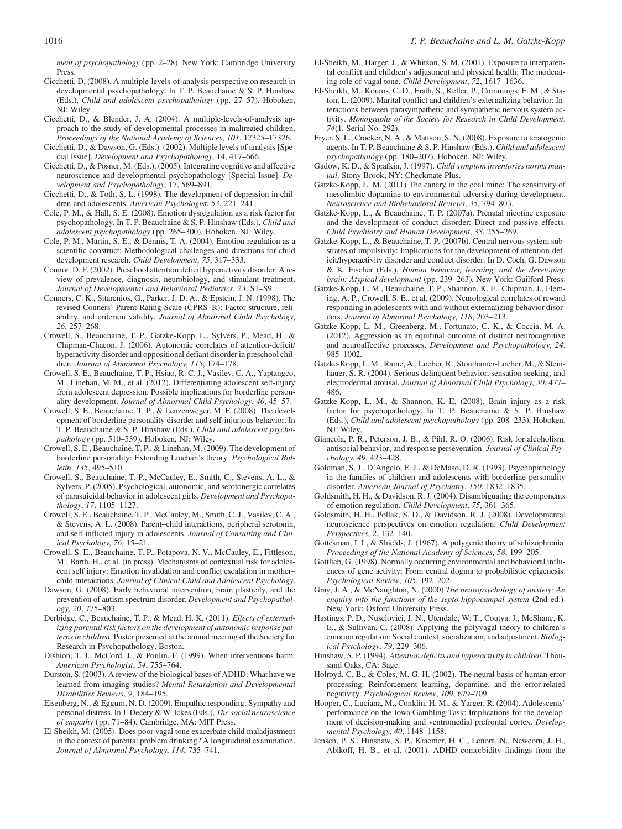ment of psychopathology (pp. 2–28). New York: Cambridge University Press.

- Cicchetti, D. (2008). A multiple-levels-of-analysis perspective on research in developmental psychopathology. In T. P. Beauchaine & S. P. Hinshaw (Eds.), Child and adolescent psychopathology (pp. 27–57). Hoboken, NJ: Wiley.
- Cicchetti, D., & Blender, J. A. (2004). A multiple-levels-of-analysis approach to the study of developmental processes in maltreated children. Proceedings of the National Academy of Sciences, 101, 17325–17326.
- Cicchetti, D., & Dawson, G. (Eds.). (2002). Multiple levels of analysis [Special Issue]. Development and Psychopathology, 14, 417–666.
- Cicchetti, D., & Posner, M. (Eds.). (2005). Integrating cognitive and affective neuroscience and developmental psychopathology [Special Issue]. Development and Psychopathology, 17, 569–891.
- Cicchetti, D., & Toth, S. L. (1998). The development of depression in children and adolescents. American Psychologist, 53, 221–241.
- Cole, P. M., & Hall, S. E. (2008). Emotion dysregulation as a risk factor for psychopathology. In T. P. Beauchaine & S. P. Hinshaw (Eds.), Child and adolescent psychopathology (pp. 265–300). Hoboken, NJ: Wiley.
- Cole, P. M., Martin, S. E., & Dennis, T. A. (2004). Emotion regulation as a scientific construct: Methodological challenges and directions for child development research. Child Development, 75, 317–333.
- Connor, D. F. (2002). Preschool attention deficit hyperactivity disorder: A review of prevalence, diagnosis, neurobiology, and stimulant treatment. Journal of Developmental and Behavioral Pediatrics, 23, S1–S9.
- Conners, C. K., Sitarenios, G., Parker, J. D. A., & Epstein, J. N. (1998). The revised Conners' Parent Rating Scale (CPRS–R): Factor structure, reliability, and criterion validity. Journal of Abnormal Child Psychology, 26, 257–268.
- Crowell, S., Beauchaine, T. P., Gatzke-Kopp, L., Sylvers, P., Mead, H., & Chipman-Chacon, J. (2006). Autonomic correlates of attention-deficit/ hyperactivity disorder and oppositional defiant disorder in preschool children. Journal of Abnormal Psychology, 115, 174–178.
- Crowell, S. E., Beauchaine, T. P., Hsiao, R. C. J., Vasilev, C. A., Yaptangco, M., Linehan, M. M., et al. (2012). Differentiating adolescent self-injury from adolescent depression: Possible implications for borderline personality development. Journal of Abnormal Child Psychology, 40, 45–57.
- Crowell, S. E., Beauchaine, T. P., & Lenzenweger, M. F. (2008). The development of borderline personality disorder and self-injurious behavior. In T. P. Beauchaine & S. P. Hinshaw (Eds.), Child and adolescent psychopathology (pp. 510–539). Hoboken, NJ: Wiley.
- Crowell, S. E., Beauchaine, T. P., & Linehan, M. (2009). The development of borderline personality: Extending Linehan's theory. Psychological Bulletin, 135, 495–510.
- Crowell, S., Beauchaine, T. P., McCauley, E., Smith, C., Stevens, A. L., & Sylvers, P. (2005). Psychological, autonomic, and serotonergic correlates of parasuicidal behavior in adolescent girls. Development and Psychopathology, 17, 1105–1127.
- Crowell, S. E., Beauchaine, T. P., McCauley, M., Smith, C. J., Vasilev, C. A., & Stevens, A. L. (2008). Parent–child interactions, peripheral serotonin, and self-inflicted injury in adolescents. Journal of Consulting and Clinical Psychology, 76, 15–21.
- Crowell, S. E., Beauchaine, T. P., Potapova, N. V., McCauley, E., Fittleson, M., Barth, H., et al. (in press). Mechanisms of contextual risk for adolescent self injury: Emotion invalidation and conflict escalation in mother– child interactions. Journal of Clinical Child and Adolescent Psychology.
- Dawson, G. (2008). Early behavioral intervention, brain plasticity, and the prevention of autism spectrum disorder. Development and Psychopathology, 20, 775–803.
- Derbidge, C., Beauchaine, T. P., & Mead, H. K. (2011). Effects of externalizing parental risk factors on the development of autonomic response patterns in children. Poster presented at the annual meeting of the Society for Research in Psychopathology, Boston.
- Dishion, T. J., McCord, J., & Poulin, F. (1999). When interventions harm. American Psychologist, 54, 755–764.
- Durston, S. (2003). A review of the biological bases of ADHD: What have we learned from imaging studies? Mental Retardation and Developmental Disabilities Reviews, 9, 184–195.
- Eisenberg, N., & Eggum, N. D. (2009). Empathic responding: Sympathy and personal distress. In J. Decety & W. Ickes (Eds.), The social neuroscience of empathy (pp. 71–84). Cambridge, MA: MIT Press.
- El-Sheikh, M. (2005). Does poor vagal tone exacerbate child maladjustment in the context of parental problem drinking? A longitudinal examination. Journal of Abnormal Psychology, 114, 735–741.
- El-Sheikh, M., Harger, J., & Whitson, S. M. (2001). Exposure to interparental conflict and children's adjustment and physical health: The moderating role of vagal tone. Child Development, 72, 1617–1636.
- El-Sheikh, M., Kouros, C. D., Erath, S., Keller, P., Cummings, E. M., & Staton, L. (2009). Marital conflict and children's externalizing behavior: Interactions between parasympathetic and sympathetic nervous system activity. Monographs of the Society for Research in Child Development, 74(1, Serial No. 292).
- Fryer, S. L., Crocker, N. A., & Mattson, S. N. (2008). Exposure to teratogenic agents. In T. P. Beauchaine & S. P. Hinshaw (Eds.), Child and adolescent psychopathology (pp. 180–207). Hoboken, NJ: Wiley.
- Gadow, K. D., & Sprafkin, J. (1997). Child symptom inventories norms manual. Stony Brook, NY: Checkmate Plus.
- Gatzke-Kopp, L. M. (2011) The canary in the coal mine: The sensitivity of mesolimbic dopamine to environmental adversity during development. Neuroscience and Biobehavioral Reviews, 35, 794–803.
- Gatzke-Kopp, L., & Beauchaine, T. P. (2007a). Prenatal nicotine exposure and the development of conduct disorder: Direct and passive effects. Child Psychiatry and Human Development, 38, 255–269.
- Gatzke-Kopp, L., & Beauchaine, T. P. (2007b). Central nervous system substrates of impulsivity: Implications for the development of attention-deficit/hyperactivity disorder and conduct disorder. In D. Coch, G. Dawson & K. Fischer (Eds.), Human behavior, learning, and the developing brain: Atypical development (pp. 239–263). New York: Guilford Press.
- Gatzke-Kopp, L. M., Beauchaine, T. P., Shannon, K. E., Chipman, J., Fleming, A. P., Crowell, S. E., et al. (2009). Neurological correlates of reward responding in adolescents with and without externalizing behavior disorders. Journal of Abnormal Psychology, 118, 203–213.
- Gatzke-Kopp, L. M., Greenberg, M., Fortunato, C. K., & Coccia, M. A. (2012). Aggression as an equifinal outcome of distinct neurocognitive and neuroaffective processes. Development and Psychopathology, 24, 985–1002.
- Gatzke-Kopp, L. M., Raine, A., Loeber, R., Stouthamer-Loeber, M., & Steinhauer, S. R. (2004). Serious delinquent behavior, sensation seeking, and electrodermal arousal, Journal of Abnormal Child Psychology, 30, 477– 486.
- Gatzke-Kopp, L. M., & Shannon, K. E. (2008). Brain injury as a risk factor for psychopathology. In T. P. Beauchaine & S. P. Hinshaw (Eds.), Child and adolescent psychopathology (pp. 208–233). Hoboken, NJ: Wiley.
- Giancola, P. R., Peterson, J. B., & Pihl, R. O. (2006). Risk for alcoholism, antisocial behavior, and response perseveration. Journal of Clinical Psychology, 49, 423–428.
- Goldman, S. J., D'Angelo, E. J., & DeMaso, D. R. (1993). Psychopathology in the families of children and adolescents with borderline personality disorder. American Journal of Psychiatry, 150, 1832–1835.
- Goldsmith, H. H., & Davidson, R. J. (2004). Disambiguating the components of emotion regulation. Child Development, 75, 361–365.
- Goldsmith, H. H., Pollak, S. D., & Davidson, R. J. (2008). Developmental neuroscience perspectives on emotion regulation. Child Development Perspectives, 2, 132–140.
- Gottesman, I. I., & Shields, J. (1967). A polygenic theory of schizophrenia. Proceedings of the National Academy of Sciences, 58, 199–205.
- Gottlieb, G. (1998). Normally occurring environmental and behavioral influences of gene activity: From central dogma to probabilistic epigenesis. Psychological Review, 105, 192–202.
- Gray, J. A., & McNaughton, N. (2000) The neuropsychology of anxiety: An enquiry into the functions of the septo-hippocampal system (2nd ed.). New York: Oxford University Press.
- Hastings, P. D., Nuselovici, J. N., Utendale, W. T., Coutya, J., McShane, K. E., & Sullivan, C. (2008). Applying the polyvagal theory to children's emotion regulation: Social context, socialization, and adjustment. Biological Psychology, 79, 229–306.
- Hinshaw, S. P. (1994). Attention deficits and hyperactivity in children. Thousand Oaks, CA: Sage.
- Holroyd, C. B., & Coles, M. G. H. (2002). The neural basis of human error processing: Reinforcement learning, dopamine, and the error-related negativity. Psychological Review, 109, 679–709.
- Hooper, C., Luciana, M., Conklin, H. M., & Yarger, R. (2004). Adolescents' performance on the Iowa Gambling Task: Implications for the development of decision-making and ventromedial prefrontal cortex. Developmental Psychology, 40, 1148–1158.
- Jensen, P. S., Hinshaw, S. P., Kraemer, H. C., Lenora, N., Newcorn, J. H., Abikoff, H. B., et al. (2001). ADHD comorbidity findings from the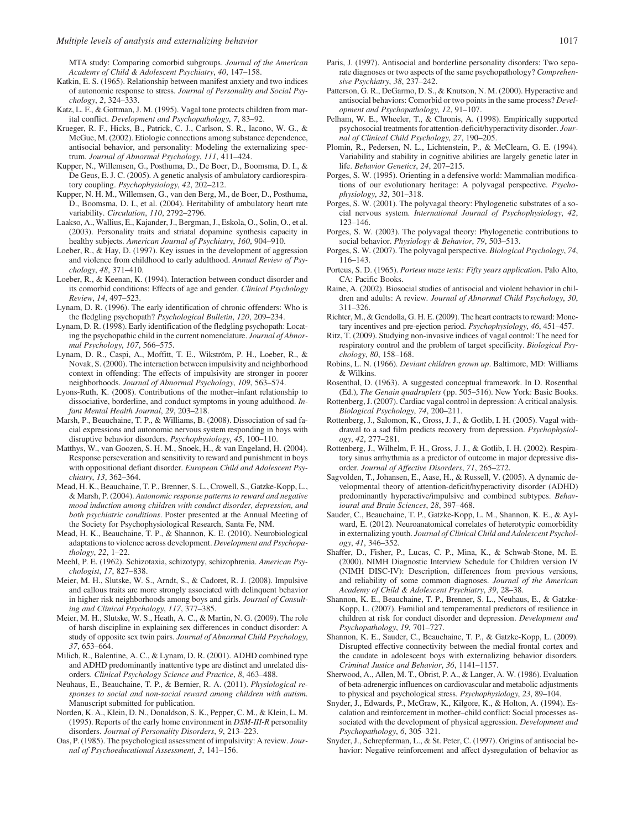MTA study: Comparing comorbid subgroups. Journal of the American Academy of Child & Adolescent Psychiatry, 40, 147–158.

- Katkin, E. S. (1965). Relationship between manifest anxiety and two indices of autonomic response to stress. Journal of Personality and Social Psychology, 2, 324–333.
- Katz, L. F., & Gottman, J. M. (1995). Vagal tone protects children from marital conflict. Development and Psychopathology, 7, 83–92.
- Krueger, R. F., Hicks, B., Patrick, C. J., Carlson, S. R., Iacono, W. G., & McGue, M. (2002). Etiologic connections among substance dependence, antisocial behavior, and personality: Modeling the externalizing spectrum. Journal of Abnormal Psychology, 111, 411–424.
- Kupper, N., Willemsen, G., Posthuma, D., De Boer, D., Boomsma, D. I., & De Geus, E. J. C. (2005). A genetic analysis of ambulatory cardiorespiratory coupling. Psychophysiology, 42, 202–212.
- Kupper, N. H. M., Willemsen, G., van den Berg, M., de Boer, D., Posthuma, D., Boomsma, D. I., et al. (2004). Heritability of ambulatory heart rate variability. Circulation, 110, 2792–2796.
- Laakso, A., Wallius, E., Kajander, J., Bergman, J., Eskola, O., Solin, O., et al. (2003). Personality traits and striatal dopamine synthesis capacity in healthy subjects. American Journal of Psychiatry, 160, 904–910.
- Loeber, R., & Hay, D. (1997). Key issues in the development of aggression and violence from childhood to early adulthood. Annual Review of Psychology, 48, 371–410.
- Loeber, R., & Keenan, K. (1994). Interaction between conduct disorder and its comorbid conditions: Effects of age and gender. Clinical Psychology Review, 14, 497–523.
- Lynam, D. R. (1996). The early identification of chronic offenders: Who is the fledgling psychopath? Psychological Bulletin, 120, 209–234.
- Lynam, D. R. (1998). Early identification of the fledgling psychopath: Locating the psychopathic child in the current nomenclature. Journal of Abnormal Psychology, 107, 566–575.
- Lynam, D. R., Caspi, A., Moffitt, T. E., Wikström, P. H., Loeber, R., & Novak, S. (2000). The interaction between impulsivity and neighborhood context in offending: The effects of impulsivity are stronger in poorer neighborhoods. Journal of Abnormal Psychology, 109, 563–574.
- Lyons-Ruth, K. (2008). Contributions of the mother–infant relationship to dissociative, borderline, and conduct symptoms in young adulthood. Infant Mental Health Journal, 29, 203–218.
- Marsh, P., Beauchaine, T. P., & Williams, B. (2008). Dissociation of sad facial expressions and autonomic nervous system responding in boys with disruptive behavior disorders. Psychophysiology, 45, 100–110.
- Matthys, W., van Goozen, S. H. M., Snoek, H., & van Engeland, H. (2004). Response perseveration and sensitivity to reward and punishment in boys with oppositional defiant disorder. European Child and Adolescent Psychiatry, 13, 362–364.
- Mead, H. K., Beauchaine, T. P., Brenner, S. L., Crowell, S., Gatzke-Kopp, L., & Marsh, P. (2004). Autonomic response patterns to reward and negative mood induction among children with conduct disorder, depression, and both psychiatric conditions. Poster presented at the Annual Meeting of the Society for Psychophysiological Research, Santa Fe, NM.
- Mead, H. K., Beauchaine, T. P., & Shannon, K. E. (2010). Neurobiological adaptations to violence across development. Development and Psychopathology, 22, 1–22.
- Meehl, P. E. (1962). Schizotaxia, schizotypy, schizophrenia. American Psychologist, 17, 827–838.
- Meier, M. H., Slutske, W. S., Arndt, S., & Cadoret, R. J. (2008). Impulsive and callous traits are more strongly associated with delinquent behavior in higher risk neighborhoods among boys and girls. Journal of Consulting and Clinical Psychology, 117, 377–385.
- Meier, M. H., Slutske, W. S., Heath, A. C., & Martin, N. G. (2009). The role of harsh discipline in explaining sex differences in conduct disorder: A study of opposite sex twin pairs. Journal of Abnormal Child Psychology, 37, 653–664.
- Milich, R., Balentine, A. C., & Lynam, D. R. (2001). ADHD combined type and ADHD predominantly inattentive type are distinct and unrelated disorders. Clinical Psychology Science and Practice, 8, 463–488.
- Neuhaus, E., Beauchaine, T. P., & Bernier, R. A. (2011). Physiological responses to social and non-social reward among children with autism. Manuscript submitted for publication.
- Norden, K. A., Klein, D. N., Donaldson, S. K., Pepper, C. M., & Klein, L. M. (1995). Reports of the early home environment in  $DSM-III-R$  personality disorders. Journal of Personality Disorders, 9, 213–223.
- Oas, P. (1985). The psychological assessment of impulsivity: A review. Journal of Psychoeducational Assessment, 3, 141–156.
- Paris, J. (1997). Antisocial and borderline personality disorders: Two separate diagnoses or two aspects of the same psychopathology? Comprehensive Psychiatry, 38, 237–242.
- Patterson, G. R., DeGarmo, D. S., & Knutson, N. M. (2000). Hyperactive and antisocial behaviors: Comorbid or two points in the same process? Development and Psychopathology, 12, 91–107.
- Pelham, W. E., Wheeler, T., & Chronis, A. (1998). Empirically supported psychosocial treatments for attention-deficit/hyperactivity disorder. Journal of Clinical Child Psychology, 27, 190–205.
- Plomin, R., Pedersen, N. L., Lichtenstein, P., & McClearn, G. E. (1994). Variability and stability in cognitive abilities are largely genetic later in life. Behavior Genetics, 24, 207–215.
- Porges, S. W. (1995). Orienting in a defensive world: Mammalian modifications of our evolutionary heritage: A polyvagal perspective. Psychophysiology, 32, 301–318.
- Porges, S. W. (2001). The polyvagal theory: Phylogenetic substrates of a social nervous system. International Journal of Psychophysiology, 42, 123–146.
- Porges, S. W. (2003). The polyvagal theory: Phylogenetic contributions to social behavior. Physiology & Behavior, 79, 503–513.
- Porges, S. W. (2007). The polyvagal perspective. Biological Psychology, 74, 116–143.
- Porteus, S. D. (1965). Porteus maze tests: Fifty years application. Palo Alto, CA: Pacific Books.
- Raine, A. (2002). Biosocial studies of antisocial and violent behavior in children and adults: A review. Journal of Abnormal Child Psychology, 30, 311–326.
- Richter, M., & Gendolla, G. H. E. (2009). The heart contracts to reward: Monetary incentives and pre-ejection period. Psychophysiology, 46, 451–457.
- Ritz, T. (2009). Studying non-invasive indices of vagal control: The need for respiratory control and the problem of target specificity. Biological Psychology, 80, 158–168.
- Robins, L. N. (1966). Deviant children grown up. Baltimore, MD: Williams & Wilkins.
- Rosenthal, D. (1963). A suggested conceptual framework. In D. Rosenthal (Ed.), The Genain quadruplets (pp. 505–516). New York: Basic Books.
- Rottenberg, J. (2007). Cardiac vagal control in depression: A critical analysis. Biological Psychology, 74, 200–211.
- Rottenberg, J., Salomon, K., Gross, J. J., & Gotlib, I. H. (2005). Vagal withdrawal to a sad film predicts recovery from depression. Psychophysiology, 42, 277–281.
- Rottenberg, J., Wilhelm, F. H., Gross, J. J., & Gotlib, I. H. (2002). Respiratory sinus arrhythmia as a predictor of outcome in major depressive disorder. Journal of Affective Disorders, 71, 265–272.
- Sagvolden, T., Johansen, E., Aase, H., & Russell, V. (2005). A dynamic developmental theory of attention-deficit/hyperactivity disorder (ADHD) predominantly hyperactive/impulsive and combined subtypes. Behavioural and Brain Sciences, 28, 397–468.
- Sauder, C., Beauchaine, T. P., Gatzke-Kopp, L. M., Shannon, K. E., & Aylward, E. (2012). Neuroanatomical correlates of heterotypic comorbidity in externalizing youth. Journal of Clinical Child and Adolescent Psychology, 41, 346–352.
- Shaffer, D., Fisher, P., Lucas, C. P., Mina, K., & Schwab-Stone, M. E. (2000). NIMH Diagnostic Interview Schedule for Children version IV (NIMH DISC-IV): Description, differences from previous versions, and reliability of some common diagnoses. Journal of the American Academy of Child & Adolescent Psychiatry, 39, 28–38.
- Shannon, K. E., Beauchaine, T. P., Brenner, S. L., Neuhaus, E., & Gatzke-Kopp, L. (2007). Familial and temperamental predictors of resilience in children at risk for conduct disorder and depression. Development and Psychopathology, 19, 701–727.
- Shannon, K. E., Sauder, C., Beauchaine, T. P., & Gatzke-Kopp, L. (2009). Disrupted effective connectivity between the medial frontal cortex and the caudate in adolescent boys with externalizing behavior disorders. Criminal Justice and Behavior, 36, 1141–1157.
- Sherwood, A., Allen, M. T., Obrist, P. A., & Langer, A. W. (1986). Evaluation of beta-adrenergic influences on cardiovascular and metabolic adjustments to physical and psychological stress. Psychophysiology, 23, 89–104.
- Snyder, J., Edwards, P., McGraw, K., Kilgore, K., & Holton, A. (1994). Escalation and reinforcement in mother–child conflict: Social processes associated with the development of physical aggression. Development and Psychopathology, 6, 305–321.
- Snyder, J., Schrepferman, L., & St. Peter, C. (1997). Origins of antisocial behavior: Negative reinforcement and affect dysregulation of behavior as